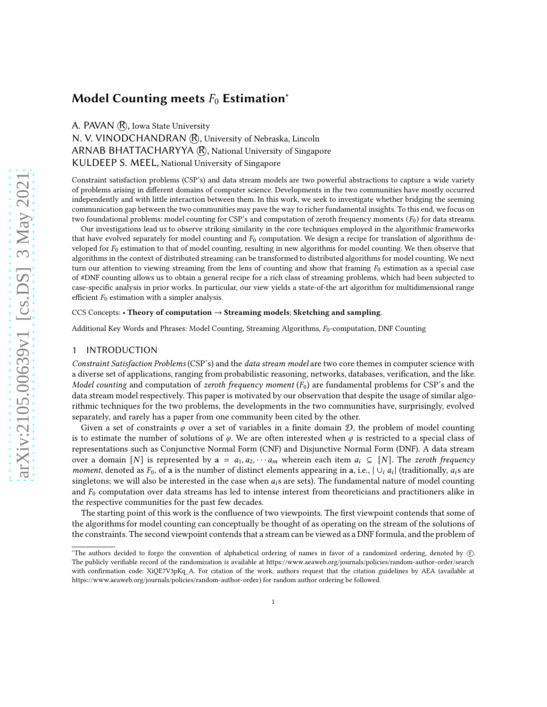# Model Counting meets  $F_0$  Estimation<sup>\*</sup>

A. PAVAN (R), Iowa State University

N. V. VINODCHANDRAN (R), University of Nebraska, Lincoln ARNAB BHATTACHARYYA (R), National University of Singapore KULDEEP S. MEEL, National University of Singapore

Constraint satisfaction problems (CSP's) and data stream models are two powerful abstractions to capture a wide variety of problems arising in different domains of computer science. Developments in the two communities have mostly occurred independently and with little interaction between them. In this work, we seek to investigate whether bridging the seeming communication gap between the two communities may pave the way to richer fundamental insights. To this end, we focus on two foundational problems: model counting for CSP's and computation of zeroth frequency moments  $(F_0)$  for data streams.

Our investigations lead us to observe striking similarity in the core techniques employed in the algorithmic frameworks that have evolved separately for model counting and  $F_0$  computation. We design a recipe for translation of algorithms developed for  $F_0$  estimation to that of model counting, resulting in new algorithms for model counting. We then observe that algorithms in the context of distributed streaming can be transformed to distributed algorithms for model counting. We next turn our attention to viewing streaming from the lens of counting and show that framing  $F_0$  estimation as a special case of #DNF counting allows us to obtain a general recipe for a rich class of streaming problems, which had been subjected to case-specific analysis in prior works. In particular, our view yields a state-of-the art algorithm for multidimensional range efficient  $F_0$  estimation with a simpler analysis.

#### CCS Concepts: • Theory of computation  $\rightarrow$  Streaming models; Sketching and sampling.

Additional Key Words and Phrases: Model Counting, Streaming Algorithms,  $F_0$ -computation, DNF Counting

## <span id="page-0-0"></span>1 INTRODUCTION

Constraint Satisfaction Problems (CSP's) and the data stream model are two core themes in computer science with a diverse set of applications, ranging from probabilistic reasoning, networks, databases, verification, and the like. Model counting and computation of zeroth frequency moment  $(F_0)$  are fundamental problems for CSP's and the data stream model respectively. This paper is motivated by our observation that despite the usage of similar algorithmic techniques for the two problems, the developments in the two communities have, surprisingly, evolved separately, and rarely has a paper from one community been cited by the other.

Given a set of constraints  $\varphi$  over a set of variables in a finite domain  $\mathcal{D}$ , the problem of model counting is to estimate the number of solutions of  $\varphi$ . We are often interested when  $\varphi$  is restricted to a special class of representations such as Conjunctive Normal Form (CNF) and Disjunctive Normal Form (DNF). A data stream over a domain [N] is represented by  $a = a_1, a_2, \cdots, a_m$  wherein each item  $a_i \subseteq [N]$ . The zeroth frequency moment, denoted as  $F_0$ , of a is the number of distinct elements appearing in a, i.e.,  $|\cup_i a_i|$  (traditionally,  $a_i$ s are singletons; we will also be interested in the case when  $a_i$ s are sets). The fundamental nature of model counting and  $F_0$  computation over data streams has led to intense interest from theoreticians and practitioners alike in the respective communities for the past few decades.

The starting point of this work is the confluence of two viewpoints. The first viewpoint contends that some of the algorithms for model counting can conceptually be thought of as operating on the stream of the solutions of the constraints. The second viewpoint contends that a stream can be viewed as a DNF formula, and the problem of

<sup>\*</sup>The authors decided to forgo the convention of alphabetical ordering of names in favor of a randomized ordering, denoted by ① The publicly verifiable record of the randomization is available at<https://www.aeaweb.org/journals/policies/random-author-order/search> with confirmation code: XiQE7V3pKq\_A. For citation of the work, authors request that the citation guidelines by AEA (available at [https://www.aeaweb.org/journals/policies/random-author-order\)](https://www.aeaweb.org/journals/policies/random-author-order) for random author ordering be followed.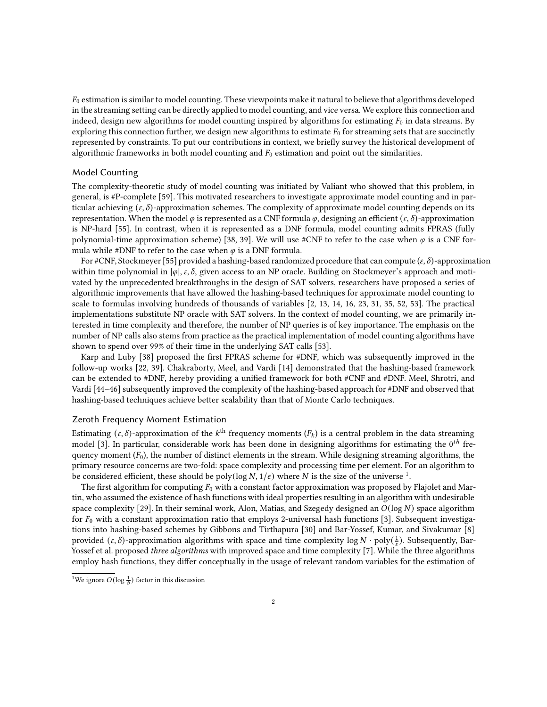$F_0$  estimation is similar to model counting. These viewpoints make it natural to believe that algorithms developed in the streaming setting can be directly applied to model counting, and vice versa. We explore this connection and indeed, design new algorithms for model counting inspired by algorithms for estimating  $F_0$  in data streams. By exploring this connection further, we design new algorithms to estimate  $F_0$  for streaming sets that are succinctly represented by constraints. To put our contributions in context, we briefly survey the historical development of algorithmic frameworks in both model counting and  $F<sub>0</sub>$  estimation and point out the similarities.

## Model Counting

The complexity-theoretic study of model counting was initiated by Valiant who showed that this problem, in general, is #P-complete [\[59](#page-20-0)]. This motivated researchers to investigate approximate model counting and in particular achieving  $(\varepsilon, \delta)$ -approximation schemes. The complexity of approximate model counting depends on its representation. When the model  $\varphi$  is represented as a CNF formula  $\varphi$ , designing an efficient  $(\varepsilon, \delta)$ -approximation is NP-hard [\[55\]](#page-20-1). In contrast, when it is represented as a DNF formula, model counting admits FPRAS (fully polynomial-time approximation scheme) [\[38,](#page-20-2) [39\]](#page-20-3). We will use #CNF to refer to the case when  $\varphi$  is a CNF formula while #DNF to refer to the case when  $\varphi$  is a DNF formula.

For #CNF, Stockmeyer [\[55\]](#page-20-1) provided a hashing-based randomized procedure that can compute  $(\varepsilon, \delta)$ -approximation within time polynomial in  $|\varphi|$ ,  $\varepsilon$ ,  $\delta$ , given access to an NP oracle. Building on Stockmeyer's approach and motivated by the unprecedented breakthroughs in the design of SAT solvers, researchers have proposed a series of algorithmic improvements that have allowed the hashing-based techniques for approximate model counting to scale to formulas involving hundreds of thousands of variables [\[2,](#page-18-0) [13,](#page-19-0) [14](#page-19-1), [16,](#page-19-2) [23](#page-19-3), [31,](#page-19-4) [35,](#page-19-5) [52,](#page-20-4) [53\]](#page-20-5). The practical implementations substitute NP oracle with SAT solvers. In the context of model counting, we are primarily interested in time complexity and therefore, the number of NP queries is of key importance. The emphasis on the number of NP calls also stems from practice as the practical implementation of model counting algorithms have shown to spend over 99% of their time in the underlying SAT calls [\[53](#page-20-5)].

Karp and Luby [\[38\]](#page-20-2) proposed the first FPRAS scheme for #DNF, which was subsequently improved in the follow-up works [\[22](#page-19-6), [39\]](#page-20-3). Chakraborty, Meel, and Vardi [\[14\]](#page-19-1) demonstrated that the hashing-based framework can be extended to #DNF, hereby providing a unified framework for both #CNF and #DNF. Meel, Shrotri, and Vardi [\[44](#page-20-6)[–46\]](#page-20-7) subsequently improved the complexity of the hashing-based approach for #DNF and observed that hashing-based techniques achieve better scalability than that of Monte Carlo techniques.

## Zeroth Frequency Moment Estimation

Estimating  $(\varepsilon,\delta)$ -approximation of the  $k^{\text{th}}$  frequency moments  $(F_k)$  is a central problem in the data streaming model [\[3](#page-18-1)]. In particular, considerable work has been done in designing algorithms for estimating the  $0^{th}$  frequency moment  $(F_0)$ , the number of distinct elements in the stream. While designing streaming algorithms, the primary resource concerns are two-fold: space complexity and processing time per element. For an algorithm to be considered efficient, these should be  $\operatorname{poly}(\log N,1/\epsilon)$  $\operatorname{poly}(\log N,1/\epsilon)$  $\operatorname{poly}(\log N,1/\epsilon)$  where  $N$  is the size of the universe  $^1$ .

The first algorithm for computing  $F_0$  with a constant factor approximation was proposed by Flajolet and Martin, who assumed the existence of hash functions with ideal properties resulting in an algorithm with undesirable space complexity [\[29\]](#page-19-7). In their seminal work, Alon, Matias, and Szegedy designed an  $O(\log N)$  space algorithm for  $F_0$  with a constant approximation ratio that employs 2-universal hash functions [\[3\]](#page-18-1). Subsequent investigations into hashing-based schemes by Gibbons and Tirthapura [\[30](#page-19-8)] and Bar-Yossef, Kumar, and Sivakumar [\[8\]](#page-19-9) provided  $(\varepsilon, \delta)$ -approximation algorithms with space and time complexity  $\log N \cdot \text{poly}(\frac{1}{\varepsilon})$ . Subsequently, Bar-Yossef et al. proposed *three algorithms* with improved space and time complexity [\[7](#page-18-2)]. While the three algorithms employ hash functions, they differ conceptually in the usage of relevant random variables for the estimation of

<span id="page-1-0"></span><sup>&</sup>lt;sup>1</sup>We ignore  $O(\log \frac{1}{\delta})$  factor in this discussion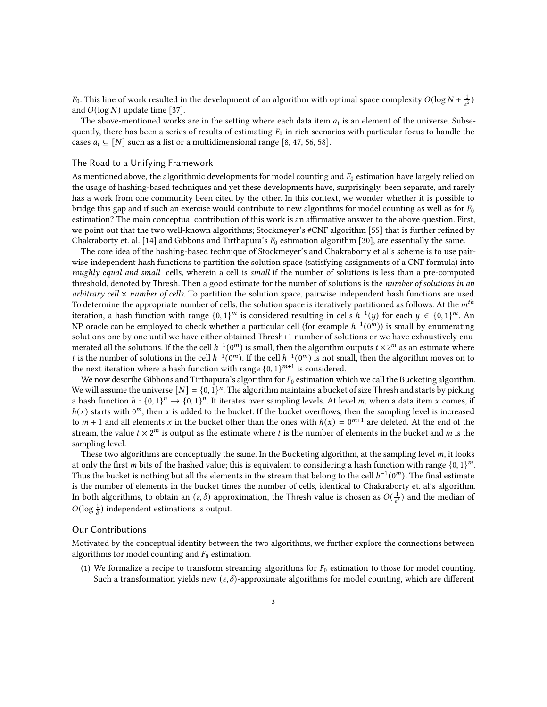$F_0$ . This line of work resulted in the development of an algorithm with optimal space complexity  $O(\log N + \frac{1}{\epsilon^2})$ and  $O(\log N)$  update time [\[37\]](#page-20-8).

The above-mentioned works are in the setting where each data item  $a_i$  is an element of the universe. Subsequently, there has been a series of results of estimating  $F_0$  in rich scenarios with particular focus to handle the cases  $a_i \subseteq [N]$  such as a list or a multidimensional range [\[8](#page-19-9), [47](#page-20-9), [56,](#page-20-10) [58](#page-20-11)].

#### The Road to a Unifying Framework

As mentioned above, the algorithmic developments for model counting and  $F_0$  estimation have largely relied on the usage of hashing-based techniques and yet these developments have, surprisingly, been separate, and rarely has a work from one community been cited by the other. In this context, we wonder whether it is possible to bridge this gap and if such an exercise would contribute to new algorithms for model counting as well as for  $F_0$ estimation? The main conceptual contribution of this work is an affirmative answer to the above question. First, we point out that the two well-known algorithms; Stockmeyer's #CNF algorithm [\[55](#page-20-1)] that is further refined by Chakraborty et. al. [\[14\]](#page-19-1) and Gibbons and Tirthapura's  $F_0$  estimation algorithm [\[30](#page-19-8)], are essentially the same.

The core idea of the hashing-based technique of Stockmeyer's and Chakraborty et al's scheme is to use pairwise independent hash functions to partition the solution space (satisfying assignments of a CNF formula) into roughly equal and small cells, wherein a cell is small if the number of solutions is less than a pre-computed threshold, denoted by Thresh. Then a good estimate for the number of solutions is the number of solutions in an arbitrary cell  $\times$  number of cells. To partition the solution space, pairwise independent hash functions are used. To determine the appropriate number of cells, the solution space is iteratively partitioned as follows. At the  $m<sup>th</sup>$ iteration, a hash function with range  $\{0,1\}^m$  is considered resulting in cells  $h^{-1}(y)$  for each  $y \in \{0,1\}^m$ . An NP oracle can be employed to check whether a particular cell (for example  $h^{-1}(0^m)$ ) is small by enumerating solutions one by one until we have either obtained Thresh+1 number of solutions or we have exhaustively enumerated all the solutions. If the the cell  $h^{-1}(0^m)$  is small, then the algorithm outputs  $t \times 2^m$  as an estimate where t is the number of solutions in the cell  $h^{-1}(0^m)$ . If the cell  $h^{-1}(0^m)$  is not small, then the algorithm moves on to the next iteration where a hash function with range  $\{0, 1\}^{m+1}$  is considered.

We now describe Gibbons and Tirthapura's algorithm for  $F_0$  estimation which we call the Bucketing algorithm. We will assume the universe  $[N] = \{0, 1\}^n$ . The algorithm maintains a bucket of size Thresh and starts by picking a hash function  $h: \{0,1\}^n \to \{0,1\}^n$ . It iterates over sampling levels. At level m, when a data item x comes, if  $h(x)$  starts with 0<sup>m</sup>, then x is added to the bucket. If the bucket overflows, then the sampling level is increased to  $m + 1$  and all elements x in the bucket other than the ones with  $h(x) = 0^{m+1}$  are deleted. At the end of the stream, the value  $t \times 2^m$  is output as the estimate where  $t$  is the number of elements in the bucket and  $m$  is the sampling level.

These two algorithms are conceptually the same. In the Bucketing algorithm, at the sampling level  $m$ , it looks at only the first m bits of the hashed value; this is equivalent to considering a hash function with range  $\{0, 1\}^m$ . Thus the bucket is nothing but all the elements in the stream that belong to the cell  $h^{-1}(0^m)$ . The final estimate is the number of elements in the bucket times the number of cells, identical to Chakraborty et. al's algorithm. In both algorithms, to obtain an  $(\varepsilon, \delta)$  approximation, the Thresh value is chosen as  $O(\frac{1}{\varepsilon^2})$  and the median of  $O(\log \frac{1}{\delta})$  independent estimations is output.

#### Our Contributions

Motivated by the conceptual identity between the two algorithms, we further explore the connections between algorithms for model counting and  $F_0$  estimation.

(1) We formalize a recipe to transform streaming algorithms for  $F_0$  estimation to those for model counting. Such a transformation yields new  $(\varepsilon, \delta)$ -approximate algorithms for model counting, which are different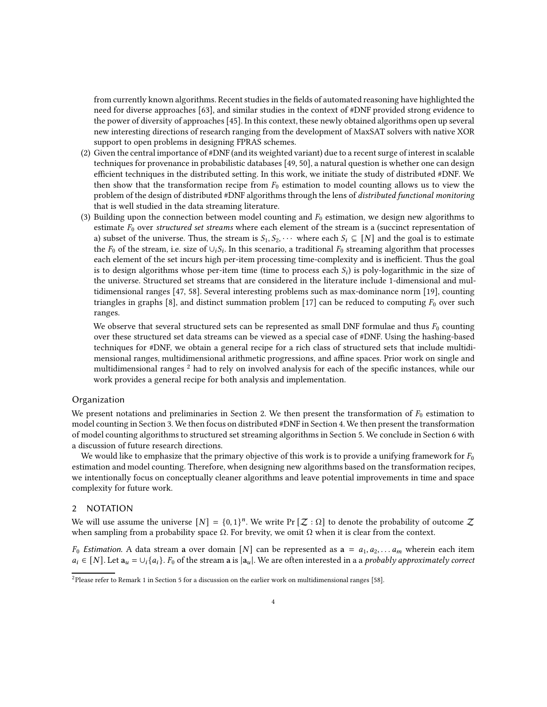from currently known algorithms. Recent studies in the fields of automated reasoning have highlighted the need for diverse approaches [\[63\]](#page-20-12), and similar studies in the context of #DNF provided strong evidence to the power of diversity of approaches [\[45](#page-20-13)]. In this context, these newly obtained algorithms open up several new interesting directions of research ranging from the development of MaxSAT solvers with native XOR support to open problems in designing FPRAS schemes.

- (2) Given the central importance of #DNF (and its weighted variant) due to a recent surge of interest in scalable techniques for provenance in probabilistic databases [\[49,](#page-20-14) [50](#page-20-15)], a natural question is whether one can design efficient techniques in the distributed setting. In this work, we initiate the study of distributed #DNF. We then show that the transformation recipe from  $F_0$  estimation to model counting allows us to view the problem of the design of distributed #DNF algorithms through the lens of distributed functional monitoring that is well studied in the data streaming literature.
- (3) Building upon the connection between model counting and  $F_0$  estimation, we design new algorithms to estimate  $F_0$  over structured set streams where each element of the stream is a (succinct representation of a) subset of the universe. Thus, the stream is  $S_1, S_2, \cdots$  where each  $S_i \subseteq [N]$  and the goal is to estimate the  $F_0$  of the stream, i.e. size of  $\cup_i S_i$ . In this scenario, a traditional  $F_0$  streaming algorithm that processes each element of the set incurs high per-item processing time-complexity and is inefficient. Thus the goal is to design algorithms whose per-item time (time to process each  $S_i$ ) is poly-logarithmic in the size of the universe. Structured set streams that are considered in the literature include 1-dimensional and multidimensional ranges [\[47,](#page-20-9) [58](#page-20-11)]. Several interesting problems such as max-dominance norm [\[19\]](#page-19-10), counting triangles in graphs [\[8](#page-19-9)], and distinct summation problem [\[17\]](#page-19-11) can be reduced to computing  $F_0$  over such ranges.

We observe that several structured sets can be represented as small DNF formulae and thus  $F_0$  counting over these structured set data streams can be viewed as a special case of #DNF. Using the hashing-based techniques for #DNF, we obtain a general recipe for a rich class of structured sets that include multidimensional ranges, multidimensional arithmetic progressions, and affine spaces. Prior work on single and multidimensional ranges [2](#page-3-0) had to rely on involved analysis for each of the specific instances, while our work provides a general recipe for both analysis and implementation.

#### Organization

We present notations and preliminaries in Section [2.](#page-3-1) We then present the transformation of  $F_0$  estimation to model counting in Section [3.](#page-4-0) We then focus on distributed #DNF in Section [4.](#page-12-0) We then present the transformation of model counting algorithms to structured set streaming algorithms in Section [5.](#page-14-0) We conclude in Section [6](#page-18-3) with a discussion of future research directions.

We would like to emphasize that the primary objective of this work is to provide a unifying framework for  $F_0$ estimation and model counting. Therefore, when designing new algorithms based on the transformation recipes, we intentionally focus on conceptually cleaner algorithms and leave potential improvements in time and space complexity for future work.

## <span id="page-3-1"></span>2 NOTATION

We will use assume the universe  $[N] = \{0,1\}^n$ . We write Pr  $[\mathcal{Z}:\Omega]$  to denote the probability of outcome  $\mathcal{Z}$ when sampling from a probability space  $\Omega$ . For brevity, we omit  $\Omega$  when it is clear from the context.

 $F_0$  Estimation. A data stream a over domain [N] can be represented as  $a = a_1, a_2, \ldots a_m$  wherein each item  $a_i \in [N]$ . Let  $a_u = \bigcup_i \{a_i\}$ . F<sub>0</sub> of the stream a is  $|a_u|$ . We are often interested in a a probably approximately correct

<span id="page-3-0"></span><sup>&</sup>lt;sup>2</sup>Please refer to Remark [1](#page-15-0) in Section [5](#page-15-1) for a discussion on the earlier work on multidimensional ranges [\[58\]](#page-20-11).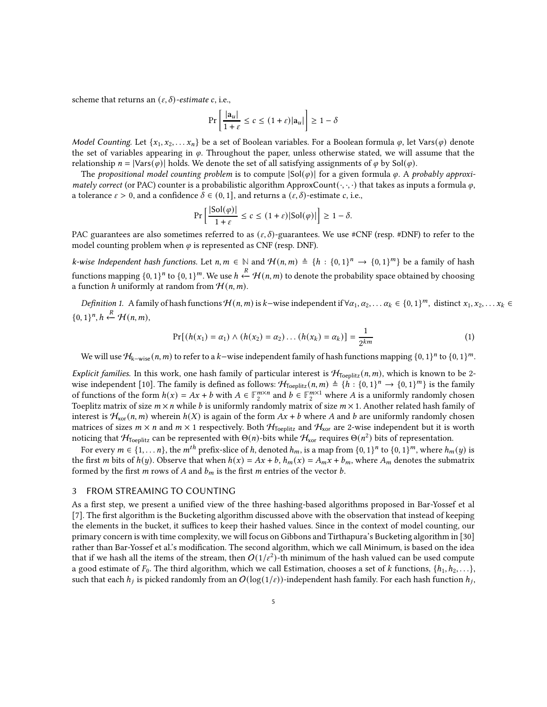scheme that returns an  $(\varepsilon, \delta)$ -estimate c, i.e.,

$$
\Pr\left[\frac{|a_u|}{1+\varepsilon} \le c \le (1+\varepsilon)|a_u|\right] \ge 1-\delta
$$

Model Counting. Let  $\{x_1, x_2, \ldots x_n\}$  be a set of Boolean variables. For a Boolean formula  $\varphi$ , let Vars $(\varphi)$  denote the set of variables appearing in  $\varphi$ . Throughout the paper, unless otherwise stated, we will assume that the relationship  $n = |{\text{Vars}}(\varphi)|$  holds. We denote the set of all satisfying assignments of  $\varphi$  by Sol( $\varphi$ ).

The propositional model counting problem is to compute  $|Sol(\varphi)|$  for a given formula  $\varphi$ . A probably approximately correct (or PAC) counter is a probabilistic algorithm ApproxCount $(\cdot, \cdot, \cdot)$  that takes as inputs a formula  $\varphi$ , a tolerance  $\varepsilon > 0$ , and a confidence  $\delta \in (0, 1]$ , and returns a  $(\varepsilon, \delta)$ -estimate c, i.e.,

$$
\Pr\left[\frac{|\text{Sol}(\varphi)|}{1+\varepsilon}\leq c\leq (1+\varepsilon)|\text{Sol}(\varphi)|\right]\geq 1-\delta.
$$

PAC guarantees are also sometimes referred to as  $(\varepsilon, \delta)$ -guarantees. We use #CNF (resp. #DNF) to refer to the model counting problem when  $\varphi$  is represented as CNF (resp. DNF).

 $k$ -wise Independent hash functions. Let  $n, m \in \mathbb{N}$  and  $\mathcal{H}(n,m) \triangleq \{h : \{0,1\}^n \to \{0,1\}^m\}$  be a family of hash functions mapping  $\{0,1\}^n$  to  $\{0,1\}^m.$  We use  $h \xleftarrow{R} \mathcal{H}(n,m)$  to denote the probability space obtained by choosing a function h uniformly at random from  $\mathcal{H}(n,m)$ .

*Definition 1.* A family of hash functions  $\mathcal{H}(n,m)$  is  $k$ –wise independent if  $\forall \alpha_1, \alpha_2, \ldots \alpha_k \in \{0,1\}^m$ , distinct  $x_1, x_2, \ldots x_k \in$  $\{0,1\}^n, h \stackrel{R}{\leftarrow} \mathcal{H}(n,m),$ 

$$
Pr[(h(x_1) = \alpha_1) \land (h(x_2) = \alpha_2) \dots (h(x_k) = \alpha_k)] = \frac{1}{2^{km}} \tag{1}
$$

We will use  $\mathcal{H}_{k-wise}(n,m)$  to refer to a  $k$ −wise independent family of hash functions mapping  $\{0,1\}^n$  to  $\{0,1\}^m$ .

Explicit families. In this work, one hash family of particular interest is  $H_{\text{Teenlitz}}(n,m)$ , which is known to be 2-wise independent [\[10\]](#page-19-12). The family is defined as follows:  $\mathcal{H}_{\text{Toeplitz}}(n,m) \triangleq \{h : \{0,1\}^n \to \{0,1\}^m\}$  is the family of functions of the form  $h(x) = Ax + b$  with  $A \in \mathbb{F}_2^{m \times n}$  and  $b \in \mathbb{F}_2^{m \times 1}$  where A is a uniformly randomly chosen Toeplitz matrix of size  $m \times n$  while b is uniformly randomly matrix of size  $m \times 1$ . Another related hash family of interest is  $\mathcal{H}_{\text{xor}}(n, m)$  wherein  $h(X)$  is again of the form  $Ax + b$  where A and b are uniformly randomly chosen matrices of sizes  $m \times n$  and  $m \times 1$  respectively. Both  $H_{\text{Toeplitz}}$  and  $H_{\text{xor}}$  are 2-wise independent but it is worth noticing that  $\mathcal{H}_{\text{Toeplitz}}$  can be represented with  $\Theta(n)$ -bits while  $\mathcal{H}_{\text{xor}}$  requires  $\Theta(n^2)$  bits of representation.

For every  $m \in \{1, ..., n\}$ , the  $m^{th}$  prefix-slice of h, denoted  $h_m$ , is a map from  $\{0, 1\}^n$  to  $\{0, 1\}^m$ , where  $h_m(y)$  is the first *m* bits of  $h(y)$ . Observe that when  $h(x) = Ax + b$ ,  $h_m(x) = A_m x + b_m$ , where  $A_m$  denotes the submatrix formed by the first  $m$  rows of  $A$  and  $b_m$  is the first  $m$  entries of the vector  $b$ .

## <span id="page-4-0"></span>3 FROM STREAMING TO COUNTING

As a first step, we present a unified view of the three hashing-based algorithms proposed in Bar-Yossef et al [\[7\]](#page-18-2). The first algorithm is the Bucketing algorithm discussed above with the observation that instead of keeping the elements in the bucket, it suffices to keep their hashed values. Since in the context of model counting, our primary concern is with time complexity, we will focus on Gibbons and Tirthapura's Bucketing algorithm in [\[30\]](#page-19-8) rather than Bar-Yossef et al.'s modification. The second algorithm, which we call Minimum, is based on the idea that if we hash all the items of the stream, then  $O(1/\varepsilon^2)$ -th minimum of the hash valued can be used compute a good estimate of  $F_0$ . The third algorithm, which we call Estimation, chooses a set of k functions,  $\{h_1, h_2, \ldots\}$ , such that each  $h_j$  is picked randomly from an  $O(\log(1/\varepsilon))$ -independent hash family. For each hash function  $h_j,$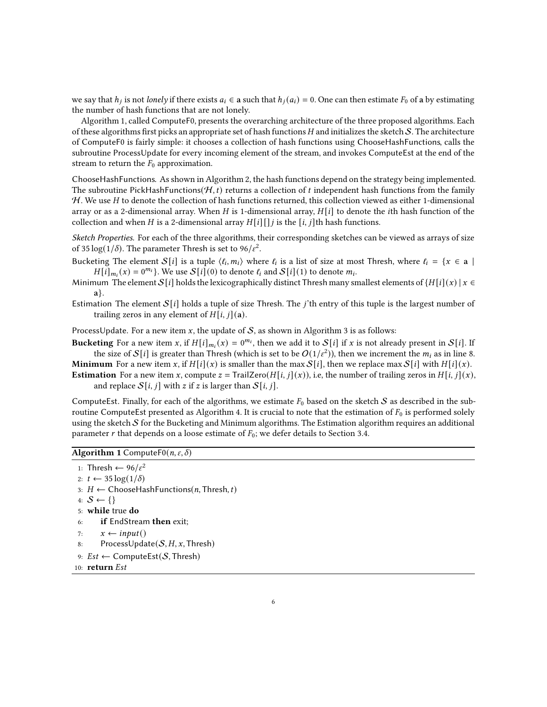we say that  $h_j$  is not lonely if there exists  $a_i \in \mathbf{a}$  such that  $h_j(a_i) = 0$ . One can then estimate  $F_0$  of  $\mathbf{a}$  by estimating the number of hash functions that are not lonely.

Algorithm [1,](#page-5-0) called ComputeF0, presents the overarching architecture of the three proposed algorithms. Each of these algorithms first picks an appropriate set of hash functions  $H$  and initializes the sketch  $S$ . The architecture of ComputeF0 is fairly simple: it chooses a collection of hash functions using ChooseHashFunctions, calls the subroutine ProcessUpdate for every incoming element of the stream, and invokes ComputeEst at the end of the stream to return the  $F_0$  approximation.

ChooseHashFunctions. As shown in Algorithm [2,](#page-6-0) the hash functions depend on the strategy being implemented. The subroutine PickHashFunctions( $H$ ,  $t$ ) returns a collection of  $t$  independent hash functions from the family  $H$ . We use H to denote the collection of hash functions returned, this collection viewed as either 1-dimensional array or as a 2-dimensional array. When H is 1-dimensional array,  $H[i]$  to denote the *i*th hash function of the collection and when *H* is a 2-dimensional array  $H[i][j]$  is the  $[i, j]$ th hash functions.

Sketch Properties. For each of the three algorithms, their corresponding sketches can be viewed as arrays of size of 35  $\log(1/\delta)$ . The parameter Thresh is set to 96/ $\varepsilon^2$ .

Bucketing The element  $S[i]$  is a tuple  $\langle \ell_i, m_i \rangle$  where  $\ell_i$  is a list of size at most Thresh, where  $\ell_i = \{x \in \mathbf{a} \mid \mathbf{a} \in \mathbf{a} \mid \mathbf{a} \in \mathbf{a} \mid \mathbf{a} \in \mathbf{a} \mid \mathbf{a} \in \mathbf{a} \mid \mathbf{a} \in \mathbf{a} \mid \mathbf{a} \in \mathbf{a} \mid \mathbf$  $H[i]_{m_i}(x) = 0^{m_i}$ . We use  $S[i](0)$  to denote  $\ell_i$  and  $S[i](1)$  to denote  $m_i$ .

- Minimum The element S[i] holds the lexicographically distinct Thresh many smallest elements of  $\{H[i](x) | x \in$ a}.
- Estimation The element  $S[i]$  holds a tuple of size Thresh. The *j*'th entry of this tuple is the largest number of trailing zeros in any element of  $H[i, j](a)$ .

ProcessUpdate. For a new item  $x$ , the update of  $S$ , as shown in Algorithm [3](#page-6-1) is as follows:

Bucketing For a new item x, if  $H[i]_{m_i}(x) = 0^{m_i}$ , then we add it to  $S[i]$  if x is not already present in  $S[i]$ . If the size of  $\mathcal{S}[i]$  is greater than Thresh (which is set to be  $O(1/\varepsilon^2)$ ), then we increment the  $m_i$  as in line [8.](#page-6-1)

**Minimum** For a new item x, if  $H[i](x)$  is smaller than the max  $S[i]$ , then we replace max  $S[i]$  with  $H[i](x)$ . **Estimation** For a new item x, compute  $z = \text{TrailZero}(H[i, j](x))$ , i.e, the number of trailing zeros in  $H[i, j](x)$ , and replace  $S[i, j]$  with z if z is larger than  $S[i, j]$ .

ComputeEst. Finally, for each of the algorithms, we estimate  $F_0$  based on the sketch  $S$  as described in the sub-routine ComputeEst presented as Algorithm [4.](#page-7-0) It is crucial to note that the estimation of  $F_0$  is performed solely using the sketch S for the Bucketing and Minimum algorithms. The Estimation algorithm requires an additional parameter r that depends on a loose estimate of  $F_0$ ; we defer details to Section [3.4.](#page-10-0)

## <span id="page-5-0"></span>Algorithm 1 Compute  $F0(n, \varepsilon, \delta)$

```
1: Thresh \leftarrow 96/\varepsilon^22: t \leftarrow 35 \log(1/\delta)3: H \leftarrow ChooseHashFunctions(n, Thresh, t)
4: S \leftarrow \{\}5: while true do
6: if EndStream then exit;
7: x \leftarrow input()8: ProcessUpdate(S, H, x,Thresh)
9: Est \leftarrow ComputeEst(S, Thresh)
```

```
10: return \, Est
```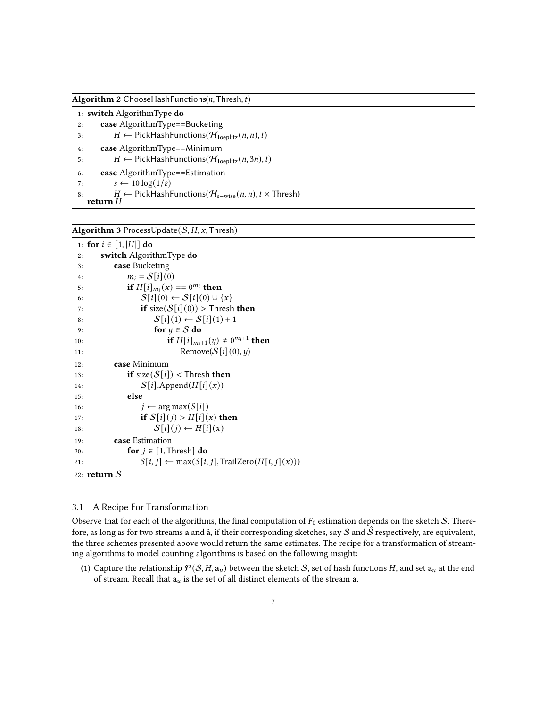<span id="page-6-0"></span>Algorithm 2 ChooseHashFunctions( $n$ , Thresh,  $t$ )

1: switch AlgorithmType do 2: case AlgorithmType==Bucketing 3:  $H \leftarrow PickHashFunctions(\mathcal{H}_{Toeplitz}(n, n), t)$ 4: case AlgorithmType==Minimum 5:  $H \leftarrow PickHashFunctions(\mathcal{H}_{Toeplitz}(n, 3n), t)$ 6: case AlgorithmType==Estimation 7:  $s \leftarrow 10 \log(1/\varepsilon)$ 8:  $H \leftarrow$  PickHashFunctions( $\mathcal{H}_{s-wise}(n, n)$ ,  $t \times$  Thresh) return  $H$ 

<span id="page-6-1"></span>Algorithm 3 ProcessUpdate( $S$ ,  $H$ ,  $x$ , Thresh)

```
1: for i \in [1, |H|] do
2: switch AlgorithmType do
3: case Bucketing
4: m_i = S[i](0)5: if H[i]_{m_i}(x) = 0^{m_i} then
6: S[i](0) \leftarrow S[i](0) \cup \{x\}7: if size(S[i](0)) > Thresh then
8: S[i](1) \leftarrow S[i](1) + 19: for y \in S do
10: if H[i]_{m_i+1}(y) \neq 0^{m_i+1} then
11: Remove(S[i](0), y)12: case Minimum
13: if size(S[i]) < Thresh then
14: S[i].Append(H[i](x))15: else
16: j \leftarrow \arg \max(S[i])17: if S[i](j) > H[i](x) then
18: S[i](j) \leftarrow H[i](x)19: case Estimation
20: for j \in [1, \text{Thresh}] do
21: S[i, j] \leftarrow \max(S[i, j], \text{TrailZero}(H[i, j](x)))22: return S
```
## 3.1 A Recipe For Transformation

Observe that for each of the algorithms, the final computation of  $F_0$  estimation depends on the sketch S. Therefore, as long as for two streams a and â, if their corresponding sketches, say  $S$  and  $S$  respectively, are equivalent, the three schemes presented above would return the same estimates. The recipe for a transformation of streaming algorithms to model counting algorithms is based on the following insight:

(1) Capture the relationship  $P(S, H, a_u)$  between the sketch S, set of hash functions H, and set  $a_u$  at the end of stream. Recall that  $\mathbf{a}_u$  is the set of all distinct elements of the stream  $\mathbf{a}$ .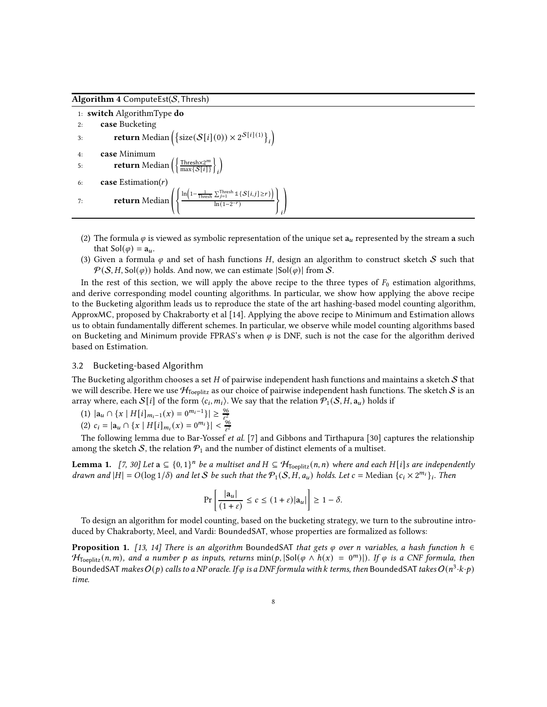<span id="page-7-0"></span>Algorithm 4 ComputeEst( $S$ , Thresh)

|    | 1: switch Algorithm Type do                                                                                                                                                |
|----|----------------------------------------------------------------------------------------------------------------------------------------------------------------------------|
| 2: | case Bucketing                                                                                                                                                             |
| 3: | <b>return</b> Median $\left( \left\{ \text{size}( \mathcal{S}[i](0)) \times 2^{\mathcal{S}[i](1)} \right\}_i \right)$                                                      |
| 4: | case Minimum                                                                                                                                                               |
| 5: | <b>return</b> Median $\left(\left\{\frac{\text{Thresh} \times 2^m}{\text{max} \{S[i]\}}\right\}\right)$                                                                    |
| 6: | <b>case</b> Estimation $(r)$                                                                                                                                               |
| 7: | <b>return</b> Median $\left( \left\{ \frac{\ln \left(1 - \frac{1}{\text{Thresh}} \sum_{j=1}^{\text{Thresh}} 1\{S[i,j] \geq r\} \right)}{\ln(1 - 2^{-r})} \right\} \right)$ |

- (2) The formula  $\varphi$  is viewed as symbolic representation of the unique set  $a_u$  represented by the stream a such that  $\text{Sol}(\varphi) = \mathbf{a}_u$ .
- (3) Given a formula  $\varphi$  and set of hash functions H, design an algorithm to construct sketch S such that  $P(S, H, Sol(\varphi))$  holds. And now, we can estimate  $|Sol(\varphi)|$  from S.

In the rest of this section, we will apply the above recipe to the three types of  $F_0$  estimation algorithms, and derive corresponding model counting algorithms. In particular, we show how applying the above recipe to the Bucketing algorithm leads us to reproduce the state of the art hashing-based model counting algorithm, ApproxMC, proposed by Chakraborty et al [\[14\]](#page-19-1). Applying the above recipe to Minimum and Estimation allows us to obtain fundamentally different schemes. In particular, we observe while model counting algorithms based on Bucketing and Minimum provide FPRAS's when  $\varphi$  is DNF, such is not the case for the algorithm derived based on Estimation.

## <span id="page-7-3"></span>3.2 Bucketing-based Algorithm

The Bucketing algorithm chooses a set  $H$  of pairwise independent hash functions and maintains a sketch  $S$  that we will describe. Here we use  $H_{\text{Toeplitz}}$  as our choice of pairwise independent hash functions. The sketch S is an array where, each  $\mathcal{S}[i]$  of the form  $\langle c_i, m_i \rangle$ . We say that the relation  $\overline{\mathcal{P}}_1(\mathcal{S}, H, \mathsf{a}_u)$  holds if

(1) 
$$
|\mathbf{a}_u \cap \{x \mid H[i]_{m_i-1}(x) = 0^{m_i-1}\}| \ge \frac{96}{\epsilon^2}
$$

(1)  $|a_{u} \cap \{x \mid H[i]_{m_i-1}(x) = 0 \} \leq \frac{e^2}{\varepsilon^2}$ <br>
(2)  $c_i = |a_u \cap \{x \mid H[i]_{m_i}(x) = 0^{m_i}\}| < \frac{96}{\varepsilon^2}$ 

The following lemma due to Bar-Yossef et al. [\[7](#page-18-2)] and Gibbons and Tirthapura [\[30](#page-19-8)] captures the relationship among the sketch S, the relation  $P_1$  and the number of distinct elements of a multiset.

<span id="page-7-2"></span>**Lemma 1.** [\[7](#page-18-2), [30\]](#page-19-8) Let  $a \subseteq \{0,1\}^n$  be a multiset and  $H \subseteq H_{Toeplitz}(n,n)$  where and each H[i]s are independently drawn and  $|H| = O(\log 1/\delta)$  and let S be such that the  $P_1(S, H, a_u)$  holds. Let  $c = \text{Median } \{c_i \times 2^{m_i}\}\text{.}$  Then

$$
\Pr\left[\frac{|\mathbf{a}_u|}{(1+\varepsilon)} \le c \le (1+\varepsilon)|\mathbf{a}_u|\right] \ge 1-\delta.
$$

To design an algorithm for model counting, based on the bucketing strategy, we turn to the subroutine introduced by Chakraborty, Meel, and Vardi: BoundedSAT, whose properties are formalized as follows:

<span id="page-7-1"></span>**Proposition 1.** [\[13,](#page-19-0) [14](#page-19-1)] There is an algorithm BoundedSAT that gets  $\varphi$  over n variables, a hash function  $h \in$  $H_{\text{Toeplitz}}(n,m)$ , and a number p as inputs, returns  $\min(p, |\text{Sol}(\varphi \land h(x)| = 0^m)|)$ . If  $\varphi$  is a CNF formula, then BoundedSAT makes  $O(p)$  calls to a NP oracle. If  $\varphi$  is a DNF formula with  $k$  terms, then BoundedSAT takes  $O(n^3\cdot k\cdot p)$ time.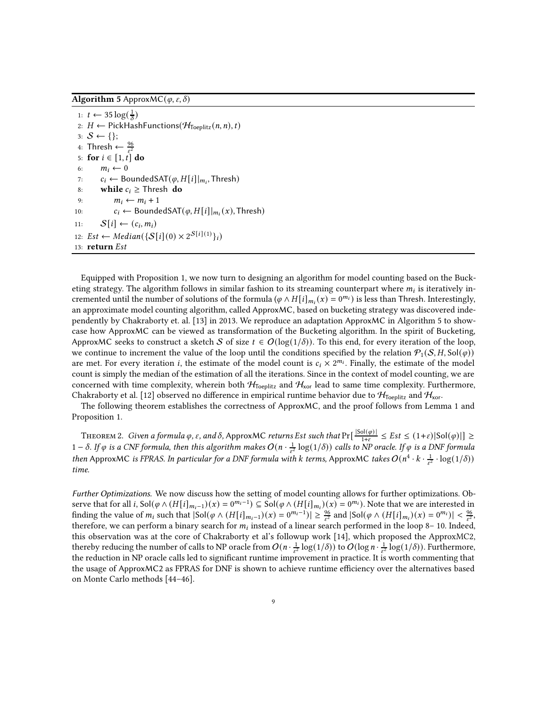<span id="page-8-0"></span>**Algorithm 5** ApproxMC( $\varphi$ ,  $\varepsilon$ ,  $\delta$ )

1:  $t \leftarrow 35 \log(\frac{1}{\delta})$ 2:  $H \leftarrow$  PickHashFunctions( $\mathcal{H}_{\text{Toeplitz}}(n, n), t$ ) 3:  $S \leftarrow \{\};$ 4: Thresh  $\leftarrow \frac{96}{\epsilon^2}$ 5: for  $i \in [1, t]$  do 6:  $m_i \leftarrow 0$ 7:  $c_i$  ← BoundedSAT( $\varphi$ ,  $H[i]|_{m_i}$ , Thresh) 8: while  $c_i \geq$  Thresh do 9:  $m_i \leftarrow m_i + 1$ 10:  $c_i \leftarrow$  BoundedSAT $(\varphi, H[i]|_{m_i}(x),$  Thresh) 11:  $S[i] \leftarrow (c_i, m_i)$ 12:  $Est \leftarrow Median(\{S[i](0) \times 2^{S[i](1)}\}_i)$ 13: return Est

Equipped with Proposition [1,](#page-7-1) we now turn to designing an algorithm for model counting based on the Bucketing strategy. The algorithm follows in similar fashion to its streaming counterpart where  $m_i$  is iteratively incremented until the number of solutions of the formula ( $\varphi \wedge H[i]_{m_i}(x) = 0^{m_i}$ ) is less than Thresh. Interestingly, an approximate model counting algorithm, called ApproxMC, based on bucketing strategy was discovered independently by Chakraborty et. al. [\[13\]](#page-19-0) in 2013. We reproduce an adaptation ApproxMC in Algorithm [5](#page-8-0) to showcase how ApproxMC can be viewed as transformation of the Bucketing algorithm. In the spirit of Bucketing, ApproxMC seeks to construct a sketch S of size  $t \in O(\log(1/\delta))$ . To this end, for every iteration of the loop, we continue to increment the value of the loop until the conditions specified by the relation  $\mathcal{P}_1(\mathcal{S}, H, \text{Sol}(\varphi))$ are met. For every iteration *i*, the estimate of the model count is  $c_i \times 2^{m_i}$ . Finally, the estimate of the model count is simply the median of the estimation of all the iterations. Since in the context of model counting, we are concerned with time complexity, wherein both  $H_{Toeplitz}$  and  $H_{\text{xor}}$  lead to same time complexity. Furthermore, Chakraborty et al. [\[12\]](#page-19-13) observed no difference in empirical runtime behavior due to  $\mathcal{H}_{\text{Toeplitz}}$  and  $\mathcal{H}_{\text{xor}}$ .

The following theorem establishes the correctness of ApproxMC, and the proof follows from Lemma [1](#page-7-2) and Proposition [1.](#page-7-1)

THEOREM 2. Given a formula  $\varphi$ ,  $\varepsilon$ , and  $\delta$ , ApproxMC returns Est such that Pr $\left[\frac{|Sol(\varphi)|}{1+\varepsilon}\right]$  $\frac{\sin(\varphi)}{1+\varepsilon} \leq Est \leq (1+\varepsilon)|Sol(\varphi)| \geq$  $1-\delta$ . If  $\varphi$  is a CNF formula, then this algorithm makes  $O(n\cdot \frac{1}{\epsilon^2}\log(1/\delta))$  calls to NP oracle. If  $\varphi$  is a DNF formula then ApproxMC is FPRAS. In particular for a DNF formula with  $k$  terms, ApproxMC takes  $O(n^4 \cdot k \cdot \frac{1}{\varepsilon^2} \cdot \log(1/\delta))$ time.

Further Optimizations. We now discuss how the setting of model counting allows for further optimizations. Observe that for all *i*, Sol( $\varphi \wedge (H[i]_{m_i-1})(x) = 0^{m_i-1}$ )  $\subseteq$  Sol( $\varphi \wedge (H[i]_{m_i})(x) = 0^{m_i}$ ). Note that we are interested in finding the value of  $m_i$  such that  $|\text{Sol}(\varphi \wedge (H[i]_{m_i-1})(x) = 0^{m_i-1})| \ge \frac{96}{\epsilon^2}$  and  $|\text{Sol}(\varphi \wedge (H[i]_{m_i})(x) = 0^{m_i})| < \frac{96}{\epsilon^2}$ , therefore, we can perform a binary search for  $m_i$  instead of a linear search performed in the loop [8– 10.](#page-8-0) Indeed, this observation was at the core of Chakraborty et al's followup work [\[14](#page-19-1)], which proposed the ApproxMC2, thereby reducing the number of calls to NP oracle from  $O(n\cdot\frac{1}{\epsilon^2}\log(1/\delta))$  to  $O(\log n\cdot\frac{1}{\epsilon^2}\log(1/\delta))$ . Furthermore, the reduction in NP oracle calls led to significant runtime improvement in practice. It is worth commenting that the usage of ApproxMC2 as FPRAS for DNF is shown to achieve runtime efficiency over the alternatives based on Monte Carlo methods [\[44](#page-20-6)[–46](#page-20-7)].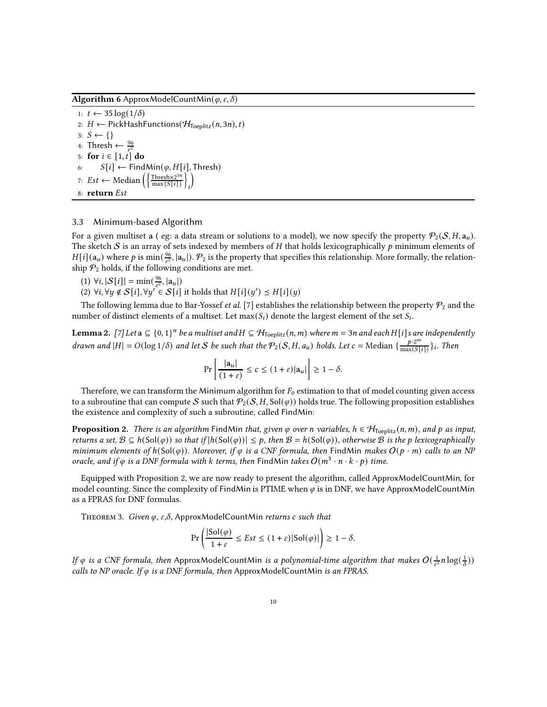Algorithm 6 ApproxModelCountMin( $\varphi, \varepsilon, \delta$ )

1:  $t \leftarrow 35 \log(1/\delta)$ 2:  $H \leftarrow$  PickHashFunctions( $\mathcal{H}_{\text{Toeplitz}}(n, 3n), t$ ) 3:  $S \leftarrow \{\}$ 4: Thresh  $\leftarrow \frac{96}{\varepsilon^2}$ <br>5: **for**  $i \in [1, t]$  do 6:  $S[i] \leftarrow \text{FindMin}(\varphi, H[i], \text{Thresh})$ 7:  $Est$  ← Median  $\left(\left\{\frac{\text{Thresh} \times 2^{3n}}{\text{max} \{S[i]\}}\right\}\right)$ i Í 8: return Est

## <span id="page-9-1"></span>3.3 Minimum-based Algorithm

For a given multiset a (eg: a data stream or solutions to a model), we now specify the property  $P_2(S, H, \mathbf{a}_u)$ . The sketch S is an array of sets indexed by members of H that holds lexicographically  $p$  minimum elements of  $H[i](\mathbf{a}_u)$  where  $p$  is min( $\frac{96}{\epsilon^2}$ ,  $|\mathbf{a}_u|$ ).  $\mathcal{P}_2$  is the property that specifies this relationship. More formally, the relationship  $\mathcal{P}_2$  holds, if the following conditions are met.

- $(1) \ \forall i, |S[i]| = \min(\frac{96}{\varepsilon^2}, |a_u|)$
- (2) ∀ $i, \forall y \notin S[i], \forall y' \in S[i]$  it holds that  $H[i](y') \preceq H[i](y)$

The following lemma due to Bar-Yossef *et al.* [\[7\]](#page-18-2) establishes the relationship between the property  $\mathcal{P}_2$  and the number of distinct elements of a multiset. Let  $\max(S_i)$  denote the largest element of the set  $S_i$ .

<span id="page-9-2"></span>**Lemma 2.** [\[7](#page-18-2)] Let  $a \subseteq \{0,1\}^n$  be a multiset and  $H \subseteq H_{Toeplitz}(n,m)$  where  $m = 3n$  and each H[i]s are independently drawn and  $|H| = O(\log 1/\delta)$  and let S be such that the  $\mathcal{P}_2(S, H, a_u)$  holds. Let  $c = \text{Median} \{ \frac{p \cdot 2^m}{\max(S[i])} \}_i$ . Then

$$
\Pr\left[\frac{|\mathbf{a}_u|}{(1+\varepsilon)} \le c \le (1+\varepsilon)|\mathbf{a}_u|\right] \ge 1-\delta.
$$

Therefore, we can transform the Minimum algorithm for  $F_0$  estimation to that of model counting given access to a subroutine that can compute S such that  $\mathcal{P}_2(S, H, Sol(\varphi))$  holds true. The following proposition establishes the existence and complexity of such a subroutine, called FindMin:

<span id="page-9-0"></span>**Proposition 2.** There is an algorithm FindMin that, given  $\varphi$  over n variables,  $h \in \mathcal{H}_{\text{Toeplitz}}(n,m)$ , and  $p$  as input, returns a set,  $B \subseteq h(Sol(\varphi))$  so that if  $|h(Sol(\varphi))| \leq p$ , then  $B = h(Sol(\varphi))$ , otherwise B is the p lexicographically minimum elements of  $h(Sol(\varphi))$ . Moreover, if  $\varphi$  is a CNF formula, then FindMin makes  $O(p \cdot m)$  calls to an NP oracle, and if  $\varphi$  is a DNF formula with  $k$  terms, then FindMin takes  $O(m^3 \cdot n \cdot k \cdot p)$  time.

Equipped with Proposition [2,](#page-9-0) we are now ready to present the algorithm, called ApproxModelCountMin, for model counting. Since the complexity of FindMin is PTIME when  $\varphi$  is in DNF, we have ApproxModelCountMin as a FPRAS for DNF formulas.

THEOREM 3. Given  $\varphi$ ,  $\varepsilon$ , $\delta$ , ApproxModelCountMin returns c such that

$$
\Pr\left(\frac{|\text{Sol}(\varphi)|}{1+\varepsilon}\leq Est\leq (1+\varepsilon)|\text{Sol}(\varphi)|\right)\geq 1-\delta.
$$

If  $\varphi$  is a CNF formula, then ApproxModelCountMin is a polynomial-time algorithm that makes  $O(\frac{1}{\epsilon^2}n\log(\frac{1}{\delta}))$ calls to NP oracle. If  $\varphi$  is a DNF formula, then ApproxModelCountMin is an FPRAS.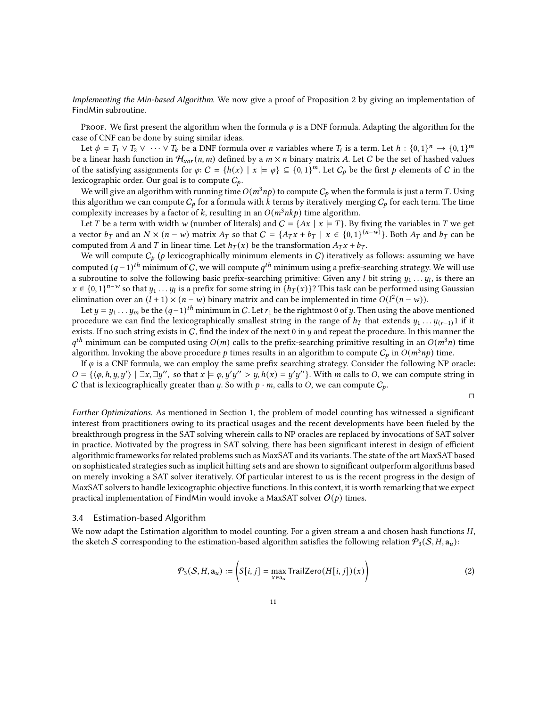Implementing the Min-based Algorithm. We now give a proof of Proposition [2](#page-9-0) by giving an implementation of FindMin subroutine.

Proof. We first present the algorithm when the formula  $\varphi$  is a DNF formula. Adapting the algorithm for the case of CNF can be done by suing similar ideas.

Let  $\phi = T_1 \vee T_2 \vee \cdots \vee T_k$  be a DNF formula over *n* variables where  $T_i$  is a term. Let  $h: \{0,1\}^n \to \{0,1\}^m$ be a linear hash function in  $H_{xor}(n, m)$  defined by a  $m \times n$  binary matrix A. Let C be the set of hashed values of the satisfying assignments for  $\varphi: C = \{h(x) | x \models \varphi\} \subseteq \{0,1\}^m$ . Let  $C_p$  be the first p elements of C in the lexicographic order. Our goal is to compute  $C_p$ .

We will give an algorithm with running time  $O(m^3np)$  to compute  $C_p$  when the formula is just a term T. Using this algorithm we can compute  $C_p$  for a formula with k terms by iteratively merging  $C_p$  for each term. The time complexity increases by a factor of k, resulting in an  $O(m^3 n k p)$  time algorithm.

Let T be a term with width w (number of literals) and  $C = \{Ax \mid x \in T\}$ . By fixing the variables in T we get a vector  $b_T$  and an  $N \times (n - w)$  matrix  $A_T$  so that  $C = \{A_T x + b_T \mid x \in \{0, 1\}^{(n - w)}\}$ . Both  $A_T$  and  $b_T$  can be computed from A and T in linear time. Let  $h_T(x)$  be the transformation  $A_T x + b_T$ .

We will compute  $C_p$  (p lexicographically minimum elements in C) iteratively as follows: assuming we have computed  $(q-1)^{th}$  minimum of  $C$ , we will compute  $q^{th}$  minimum using a prefix-searching strategy. We will use a subroutine to solve the following basic prefix-searching primitive: Given any  $l$  bit string  $y_1 \ldots y_l$ , is there an  $x \in \{0, 1\}^{n-w}$  so that  $y_1 \ldots y_l$  is a prefix for some string in  $\{h_T(x)\}$ ? This task can be performed using Gaussian elimination over an  $(l + 1) \times (n - w)$  binary matrix and can be implemented in time  $O(l^2(n - w))$ .

Let  $y = y_1 \ldots y_m$  be the  $(q-1)^{th}$  minimum in  $C$ . Let  $r_1$  be the rightmost 0 of  $y$ . Then using the above mentioned procedure we can find the lexicographically smallest string in the range of  $h_T$  that extends  $y_1 \ldots y_{(r-1)}$  if it exists. If no such string exists in  $C$ , find the index of the next 0 in  $y$  and repeat the procedure. In this manner the  $q^{th}$  minimum can be computed using  $O(m)$  calls to the prefix-searching primitive resulting in an  $O(m^3n)$  time algorithm. Invoking the above procedure  $p$  times results in an algorithm to compute  $C_p$  in  $O(m^3np)$  time.

If  $\varphi$  is a CNF formula, we can employ the same prefix searching strategy. Consider the following NP oracle:  $O = \{(\varphi, h, y, y') \mid \exists x, \exists y'', \text{ so that } x \models \varphi, y'y'' > y, h(x) = y'y''\}.$  With *m* calls to *O*, we can compute string in C that is lexicographically greater than  $y$ . So with  $p \cdot m$ , calls to O, we can compute  $C_p$ .

$$
\Box
$$

Further Optimizations. As mentioned in Section [1,](#page-0-0) the problem of model counting has witnessed a significant interest from practitioners owing to its practical usages and the recent developments have been fueled by the breakthrough progress in the SAT solving wherein calls to NP oracles are replaced by invocations of SAT solver in practice. Motivated by the progress in SAT solving, there has been significant interest in design of efficient algorithmic frameworks for related problems such as MaxSAT and its variants. The state of the art MaxSAT based on sophisticated strategies such as implicit hitting sets and are shown to significant outperform algorithms based on merely invoking a SAT solver iteratively. Of particular interest to us is the recent progress in the design of MaxSAT solvers to handle lexicographic objective functions. In this context, it is worth remarking that we expect practical implementation of FindMin would invoke a MaxSAT solver  $O(p)$  times.

## <span id="page-10-0"></span>3.4 Estimation-based Algorithm

We now adapt the Estimation algorithm to model counting. For a given stream a and chosen hash functions  $H$ , the sketch S corresponding to the estimation-based algorithm satisfies the following relation  $\mathcal{P}_3(\mathcal{S}, H, \mathbf{a}_u)$ :

$$
\mathcal{P}_3(\mathcal{S}, H, \mathbf{a}_u) := \left( S[i, j] = \max_{x \in \mathbf{a}_u} \text{TrailZero}(H[i, j])(x) \right) \tag{2}
$$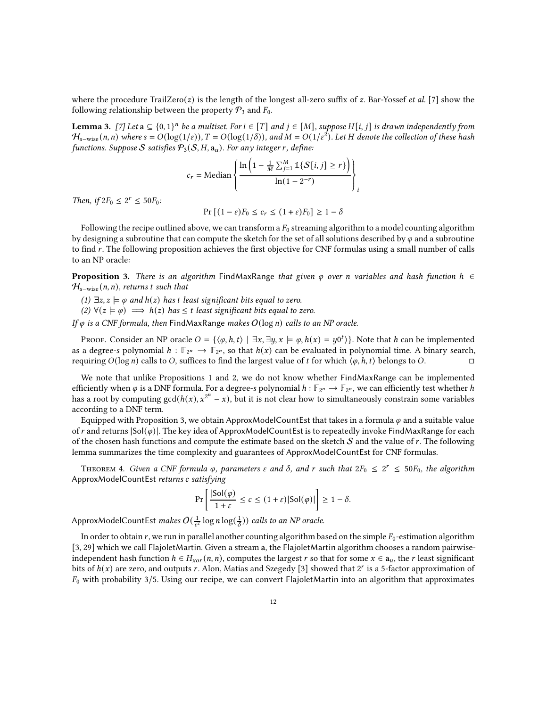where the procedure  $TraiZero(z)$  is the length of the longest all-zero suffix of z. Bar-Yossef *et al.* [\[7\]](#page-18-2) show the following relationship between the property  $P_3$  and  $F_0$ .

**Lemma 3.** [\[7\]](#page-18-2) Let  $a \subseteq \{0,1\}^n$  be a multiset. For  $i \in [T]$  and  $j \in [M]$ , suppose H $[i, j]$  is drawn independently from  $H_{s-\text{wise}}(n,n)$  where  $s=O(\log(1/\varepsilon)),$   $T=O(\log(1/\delta)),$  and  $M=O(1/\varepsilon^2).$  Let  $H$  denote the collection of these hash functions. Suppose S satisfies  $P_3(S, H, a_u)$ . For any integer r, define:

$$
c_r = \text{Median}\left\{\frac{\ln\left(1 - \frac{1}{M}\sum_{j=1}^{M} \mathbb{1}\{S[i, j] \ge r\}\right)}{\ln(1 - 2^{-r})}\right\}_i
$$

Then, if  $2F_0 \leq 2^r \leq 50F_0$ :

$$
Pr [(1 - \varepsilon)F_0 \le c_r \le (1 + \varepsilon)F_0] \ge 1 - \delta
$$

Following the recipe outlined above, we can transform a  $F_0$  streaming algorithm to a model counting algorithm by designing a subroutine that can compute the sketch for the set of all solutions described by  $\varphi$  and a subroutine to find r. The following proposition achieves the first objective for CNF formulas using a small number of calls to an NP oracle:

<span id="page-11-0"></span>**Proposition 3.** There is an algorithm FindMaxRange that given  $\varphi$  over n variables and hash function  $h \in$  $\mathcal{H}_{s-wise}(n, n)$ , returns t such that

(1)  $\exists z, z \models \varphi$  and  $h(z)$  has t least significant bits equal to zero.

(2)  $\forall (z \models \varphi) \implies h(z)$  has  $\leq t$  least significant bits equal to zero.

If  $\varphi$  is a CNF formula, then FindMaxRange makes  $O(\log n)$  calls to an NP oracle.

Proof. Consider an NP oracle  $O = \{(\varphi, h, t) \mid \exists x, \exists y, x \models \varphi, h(x) = y0^t)\}.$  Note that h can be implemented as a degree-s polynomial  $h : \mathbb{F}_{2^n} \to \mathbb{F}_{2^n}$ , so that  $h(x)$  can be evaluated in polynomial time. A binary search, requiring  $O(\log n)$  calls to O, suffices to find the largest value of t for which  $\langle \varphi, h, t \rangle$  belongs to O.

We note that unlike Propositions [1](#page-7-1) and [2,](#page-9-0) we do not know whether FindMaxRange can be implemented efficiently when  $\varphi$  is a DNF formula. For a degree-s polynomial  $h:\mathbb{F}_{2^n}\to\mathbb{F}_{2^n}$ , we can efficiently test whether  $h$ has a root by computing  $gcd(h(x), x^{2^n} - x)$ , but it is not clear how to simultaneously constrain some variables according to a DNF term.

Equipped with Proposition [3,](#page-11-0) we obtain ApproxModelCountEst that takes in a formula  $\varphi$  and a suitable value of r and returns  $|Sol(\varphi)|$ . The key idea of ApproxModelCountEst is to repeatedly invoke FindMaxRange for each of the chosen hash functions and compute the estimate based on the sketch  $S$  and the value of  $r$ . The following lemma summarizes the time complexity and guarantees of ApproxModelCountEst for CNF formulas.

THEOREM 4. Given a CNF formula  $\varphi$ , parameters  $\varepsilon$  and  $\delta$ , and  $r$  such that  $2F_0 \leq 2^r \leq 50F_0$ , the algorithm ApproxModelCountEst returns c satisfying

$$
\Pr\left[\frac{|\text{Sol}(\varphi)|}{1+\varepsilon} \le c \le (1+\varepsilon)|\text{Sol}(\varphi)|\right] \ge 1-\delta.
$$

ApproxModelCountEst *makes*  $O(\frac{1}{\varepsilon^2}\log n\log(\frac{1}{\delta}))$  *calls to an NP oracle.* 

In order to obtain  $r$ , we run in parallel another counting algorithm based on the simple  $F_0$ -estimation algorithm [\[3,](#page-18-1) [29\]](#page-19-7) which we call FlajoletMartin. Given a stream a, the FlajoletMartin algorithm chooses a random pairwiseindependent hash function  $h \in H_{xor}(n, n)$ , computes the largest r so that for some  $x \in a_u$ , the r least significant bits of  $h(x)$  are zero, and outputs r. Alon, Matias and Szegedy [\[3\]](#page-18-1) showed that  $2^r$  is a 5-factor approximation of  $F_0$  with probability 3/5. Using our recipe, we can convert FlajoletMartin into an algorithm that approximates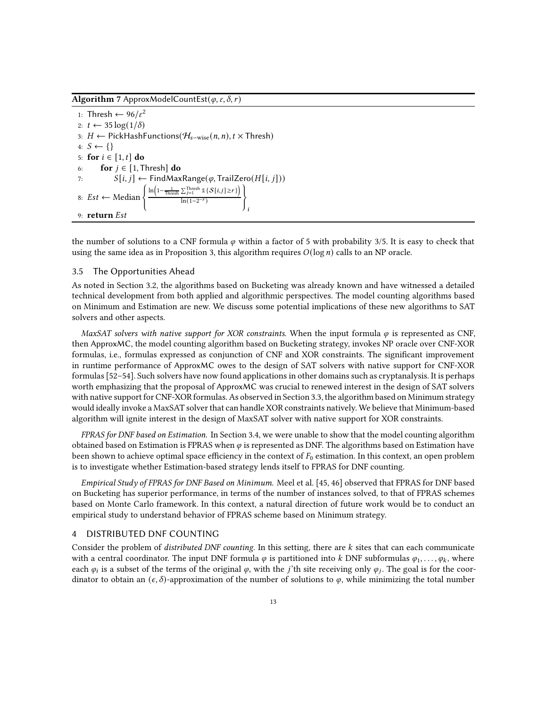Algorithm 7 ApproxModelCountEst( $\varphi$ ,  $\varepsilon$ ,  $\delta$ ,  $r$ )

```
1: Thresh \leftarrow 96/\varepsilon^22: t \leftarrow 35 \log(1/\delta)3: H ← PickHashFunctions(H_{s-wise}(n, n), t × Thresh)
4: S \leftarrow \{\}5: for i \in [1, t] do
6: for j \in [1, Thresh] do
7: S[i, j] \leftarrow FindMaxRange(\varphi, TrailZero(H[i, j]))
8: Est ← Median \left\{\frac{\ln\left(1-\frac{1}{\text{Thresh}}\sum_{j=1}^{\text{Thresh}}1\{S[i,j]\geq r\}\right)}{\ln(1-2^{-r})}\right\}ln(1-2^{-r}))
                                                                         i
9: return \, Est
```
the number of solutions to a CNF formula  $\varphi$  within a factor of 5 with probability 3/5. It is easy to check that using the same idea as in Proposition [3,](#page-11-0) this algorithm requires  $O(\log n)$  calls to an NP oracle.

## 3.5 The Opportunities Ahead

As noted in Section [3.2,](#page-7-3) the algorithms based on Bucketing was already known and have witnessed a detailed technical development from both applied and algorithmic perspectives. The model counting algorithms based on Minimum and Estimation are new. We discuss some potential implications of these new algorithms to SAT solvers and other aspects.

MaxSAT solvers with native support for XOR constraints. When the input formula  $\varphi$  is represented as CNF, then ApproxMC, the model counting algorithm based on Bucketing strategy, invokes NP oracle over CNF-XOR formulas, i.e., formulas expressed as conjunction of CNF and XOR constraints. The significant improvement in runtime performance of ApproxMC owes to the design of SAT solvers with native support for CNF-XOR formulas [\[52](#page-20-4)[–54](#page-20-16)]. Such solvers have now found applications in other domains such as cryptanalysis. It is perhaps worth emphasizing that the proposal of ApproxMC was crucial to renewed interest in the design of SAT solvers with native support for CNF-XOR formulas. As observed in Section [3.3,](#page-9-1) the algorithm based on Minimum strategy would ideally invoke a MaxSAT solver that can handle XOR constraints natively. We believe that Minimum-based algorithm will ignite interest in the design of MaxSAT solver with native support for XOR constraints.

FPRAS for DNF based on Estimation. In Section [3.4,](#page-10-0) we were unable to show that the model counting algorithm obtained based on Estimation is FPRAS when  $\varphi$  is represented as DNF. The algorithms based on Estimation have been shown to achieve optimal space efficiency in the context of  $F_0$  estimation. In this context, an open problem is to investigate whether Estimation-based strategy lends itself to FPRAS for DNF counting.

Empirical Study of FPRAS for DNF Based on Minimum. Meel et al. [\[45,](#page-20-13) [46](#page-20-7)] observed that FPRAS for DNF based on Bucketing has superior performance, in terms of the number of instances solved, to that of FPRAS schemes based on Monte Carlo framework. In this context, a natural direction of future work would be to conduct an empirical study to understand behavior of FPRAS scheme based on Minimum strategy.

#### <span id="page-12-0"></span>4 DISTRIBUTED DNF COUNTING

Consider the problem of *distributed DNF counting*. In this setting, there are  $k$  sites that can each communicate with a central coordinator. The input DNF formula  $\varphi$  is partitioned into k DNF subformulas  $\varphi_1, \ldots, \varphi_k$ , where each  $\varphi_i$  is a subset of the terms of the original  $\varphi$ , with the *j*'th site receiving only  $\varphi_j$ . The goal is for the coordinator to obtain an  $(\epsilon, \delta)$ -approximation of the number of solutions to  $\varphi$ , while minimizing the total number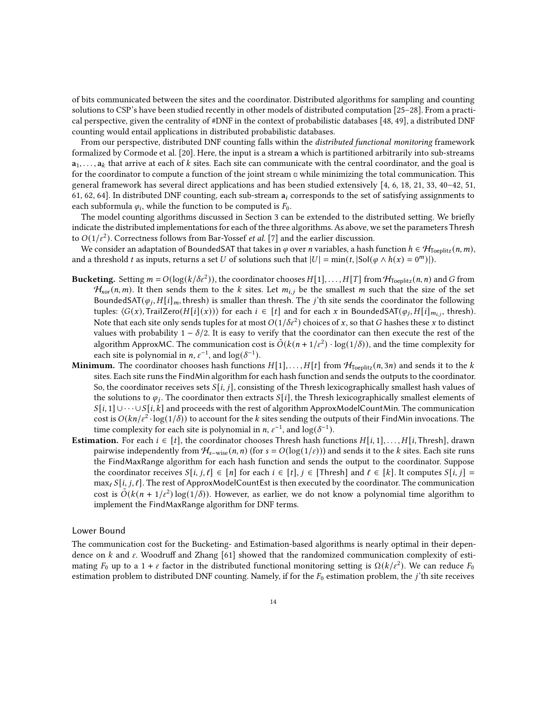of bits communicated between the sites and the coordinator. Distributed algorithms for sampling and counting solutions to CSP's have been studied recently in other models of distributed computation [\[25](#page-19-14)[–28](#page-19-15)]. From a practical perspective, given the centrality of #DNF in the context of probabilistic databases [\[48,](#page-20-17) [49\]](#page-20-14), a distributed DNF counting would entail applications in distributed probabilistic databases.

From our perspective, distributed DNF counting falls within the distributed functional monitoring framework formalized by Cormode et al. [\[20\]](#page-19-16). Here, the input is a stream a which is partitioned arbitrarily into sub-streams  $a_1, \ldots, a_k$  that arrive at each of k sites. Each site can communicate with the central coordinator, and the goal is for the coordinator to compute a function of the joint stream **a** while minimizing the total communication. This general framework has several direct applications and has been studied extensively [\[4](#page-18-4), [6,](#page-18-5) [18](#page-19-17), [21,](#page-19-18) [33,](#page-19-19) [40](#page-20-18)[–42,](#page-20-19) [51](#page-20-20), [61,](#page-20-21) [62](#page-20-22), [64\]](#page-20-23). In distributed DNF counting, each sub-stream  $a_i$  corresponds to the set of satisfying assignments to each subformula  $\varphi_i$ , while the function to be computed is  $F_0.$ 

The model counting algorithms discussed in Section [3](#page-4-0) can be extended to the distributed setting. We briefly indicate the distributed implementations for each of the three algorithms. As above, we set the parameters Thresh to  $O(1/\varepsilon^2)$ . Correctness follows from Bar-Yossef *et al.* [\[7](#page-18-2)] and the earlier discussion.

We consider an adaptation of BoundedSAT that takes in  $\varphi$  over *n* variables, a hash function  $h \in \mathcal{H}_{\text{Teenlitz}}(n,m)$ , and a threshold t as inputs, returns a set U of solutions such that  $|U| = \min(t, |Sol(\varphi \land h(x) = 0^m)|)$ .

- Bucketing. Setting  $m = O(\log(k/\delta \epsilon^2))$ , the coordinator chooses  $H[1], \ldots, H[T]$  from  $\mathcal{H}_{Toeplitz}(n, n)$  and G from  $\mathcal{H}_{\text{xor}}(n, m)$ . It then sends them to the k sites. Let  $m_{i,j}$  be the smallest m such that the size of the set BoundedSAT $(\varphi_j, H[i]_m,$  thresh) is smaller than thresh. The *j*'th site sends the coordinator the following tuples:  $\langle G(x), \text{TrailZero}(H[i](x)) \rangle$  for each  $i \in [t]$  and for each  $x$  in BoundedSAT $(\varphi_j, H[i]_{m_{i,j}},$  thresh). Note that each site only sends tuples for at most  $O(1/\delta\epsilon^2)$  choices of x, so that G hashes these x to distinct values with probability  $1 - \delta/2$ . It is easy to verify that the coordinator can then execute the rest of the algorithm ApproxMC. The communication cost is  $\tilde{O}(k(n + 1/\epsilon^2) \cdot \log(1/\delta))$ , and the time complexity for each site is polynomial in *n*,  $\varepsilon^{-1}$ , and  $\log(\delta^{-1})$ .
- **Minimum.** The coordinator chooses hash functions  $H[1], \ldots, H[t]$  from  $\mathcal{H}_{\text{Depthitz}}(n, 3n)$  and sends it to the k sites. Each site runs the FindMin algorithm for each hash function and sends the outputs to the coordinator. So, the coordinator receives sets  $S[i, j]$ , consisting of the Thresh lexicographically smallest hash values of the solutions to  $\varphi_j.$  The coordinator then extracts  $S[i],$  the Thresh lexicographically smallest elements of  $S[i, 1] \cup \cdots \cup S[i, k]$  and proceeds with the rest of algorithm ApproxModelCountMin. The communication cost is  $O(kn/\varepsilon^2\cdot \log(1/\delta))$  to account for the  $k$  sites sending the outputs of their FindMin invocations. The time complexity for each site is polynomial in *n*,  $\varepsilon^{-1}$ , and  $\log(\delta^{-1})$ .
- **Estimation.** For each  $i \in [t]$ , the coordinator chooses Thresh hash functions  $H[i, 1], \ldots, H[i,$  Thresh], drawn pairwise independently from  $H_{s-wise}(n, n)$  (for  $s = O(log(1/\epsilon))$ ) and sends it to the k sites. Each site runs the FindMaxRange algorithm for each hash function and sends the output to the coordinator. Suppose the coordinator receives  $S[i, j, \ell] \in [n]$  for each  $i \in [t], j \in [Thresh]$  and  $\ell \in [k]$ . It computes  $S[i, j] =$  $\max_{\ell} S[i, j, \ell]$ . The rest of ApproxModelCountEst is then executed by the coordinator. The communication cost is  $\tilde{O}(k(n + 1/\varepsilon^2) \log(1/\delta))$ . However, as earlier, we do not know a polynomial time algorithm to implement the FindMaxRange algorithm for DNF terms.

# Lower Bound

The communication cost for the Bucketing- and Estimation-based algorithms is nearly optimal in their dependence on  $k$  and  $\varepsilon$ . Woodruff and Zhang [\[61\]](#page-20-21) showed that the randomized communication complexity of estimating  $F_0$  up to a 1 +  $\varepsilon$  factor in the distributed functional monitoring setting is  $\Omega(k/\varepsilon^2)$ . We can reduce  $F_0$ estimation problem to distributed DNF counting. Namely, if for the  $F_0$  estimation problem, the  $j'$ th site receives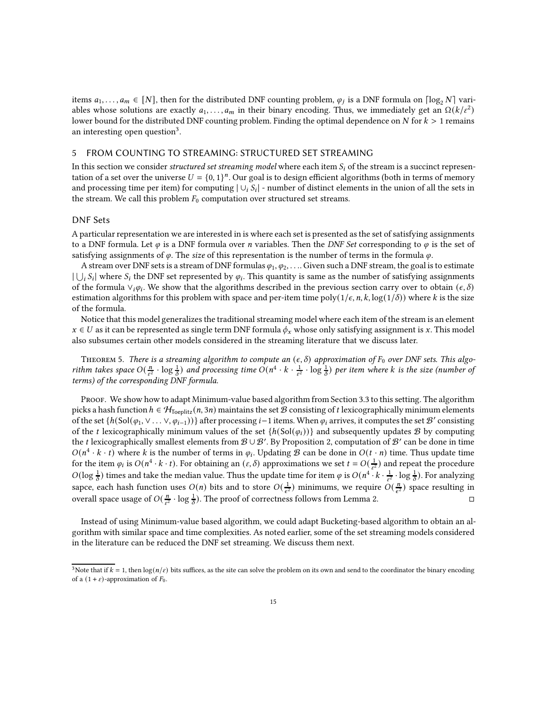items  $a_1, \ldots, a_m \in [N]$ , then for the distributed DNF counting problem,  $\varphi_j$  is a DNF formula on  $\lceil \log_2 N \rceil$  variables whose solutions are exactly  $a_1, \ldots, a_m$  in their binary encoding. Thus, we immediately get an  $\Omega(k/\varepsilon^2)$ lower bound for the distributed DNF counting problem. Finding the optimal dependence on  $N$  for  $k > 1$  remains an interesting open question $^3$  $^3$ .

### <span id="page-14-0"></span>5 FROM COUNTING TO STREAMING: STRUCTURED SET STREAMING

In this section we consider *structured set streaming model* where each item  $S_i$  of the stream is a succinct representation of a set over the universe  $U = \{0, 1\}^n$ . Our goal is to design efficient algorithms (both in terms of memory and processing time per item) for computing  $|\cup_i S_i|$  - number of distinct elements in the union of all the sets in the stream. We call this problem  $F_0$  computation over structured set streams.

# DNF Sets

A particular representation we are interested in is where each set is presented as the set of satisfying assignments to a DNF formula. Let  $\varphi$  is a DNF formula over *n* variables. Then the *DNF Set* corresponding to  $\varphi$  is the set of satisfying assignments of  $\varphi$ . The size of this representation is the number of terms in the formula  $\varphi$ .

A stream over DNF sets is a stream of DNF formulas  $\varphi_1, \varphi_2, \ldots$  Given such a DNF stream, the goal is to estimate  $|\bigcup_i S_i|$  where  $S_i$  the DNF set represented by  $\varphi_i$ . This quantity is same as the number of satisfying assignments of the formula  $\vee_i \varphi_i$ . We show that the algorithms described in the previous section carry over to obtain  $(\epsilon, \delta)$ estimation algorithms for this problem with space and per-item time poly( $1/\epsilon$ , n, k, log( $1/\delta$ )) where k is the size of the formula.

Notice that this model generalizes the traditional streaming model where each item of the stream is an element  $x \in U$  as it can be represented as single term DNF formula  $\phi_x$  whose only satisfying assignment is x. This model also subsumes certain other models considered in the streaming literature that we discuss later.

<span id="page-14-2"></span>THEOREM 5. There is a streaming algorithm to compute an  $(\epsilon, \delta)$  approximation of  $F_0$  over DNF sets. This algorithm takes space  $O(\frac{n}{\epsilon^2} \cdot \log \frac{1}{\delta})$  and processing time  $O(n^4 \cdot k \cdot \frac{1}{\epsilon^2} \cdot \log \frac{1}{\delta})$  per item where k is the size (number of terms) of the corresponding DNF formula.

Proof. We show how to adapt Minimum-value based algorithm from Section [3.3](#page-9-1) to this setting. The algorithm picks a hash function  $h \in H_{\text{Toeplitz}}(n, 3n)$  maintains the set  $B$  consisting of t lexicographically minimum elements of the set  $\{h(Sol(\varphi_1, \vee \ldots \vee, \varphi_{i-1}))\}$  after processing  $i-1$  items. When  $\varphi_i$  arrives, it computes the set  $\mathcal{B}'$  consisting of the t lexicographically minimum values of the set  ${h(Sol(\varphi_i))}$  and subsequently updates B by computing the t lexicographically smallest elements from  $\mathcal{B}\cup\mathcal{B}'$ . By Proposition [2,](#page-9-0) computation of  $\mathcal{B}'$  can be done in time  $O(n^4 \cdot k \cdot t)$  where k is the number of terms in  $\varphi_i$ . Updating B can be done in  $O(t \cdot n)$  time. Thus update time for the item  $\varphi_i$  is  $O(n^4 \cdot k \cdot t)$ . For obtaining an  $(\varepsilon, \delta)$  approximations we set  $t = O(\frac{1}{\varepsilon^2})$  and repeat the procedure  $O(\log \frac{1}{\delta})$  times and take the median value. Thus the update time for item  $\varphi$  is  $O(n^4 \cdot k \cdot \frac{1}{\epsilon^2} \cdot \log \frac{1}{\delta})$ . For analyzing sapce, each hash function uses  $O(n)$  bits and to store  $O(\frac{1}{\epsilon^2})$  minimums, we require  $O(\frac{n}{\epsilon^2})$  space resulting in overall space usage of  $O(\frac{n}{\epsilon^2} \cdot \log \frac{1}{\delta})$ . The proof of correctness follows from Lemma [2.](#page-9-2)

Instead of using Minimum-value based algorithm, we could adapt Bucketing-based algorithm to obtain an algorithm with similar space and time complexities. As noted earlier, some of the set streaming models considered in the literature can be reduced the DNF set streaming. We discuss them next.

<span id="page-14-1"></span><sup>&</sup>lt;sup>3</sup>Note that if  $k = 1$ , then  $log(n/\varepsilon)$  bits suffices, as the site can solve the problem on its own and send to the coordinator the binary encoding of a  $(1 + \varepsilon)$ -approximation of  $F_0$ .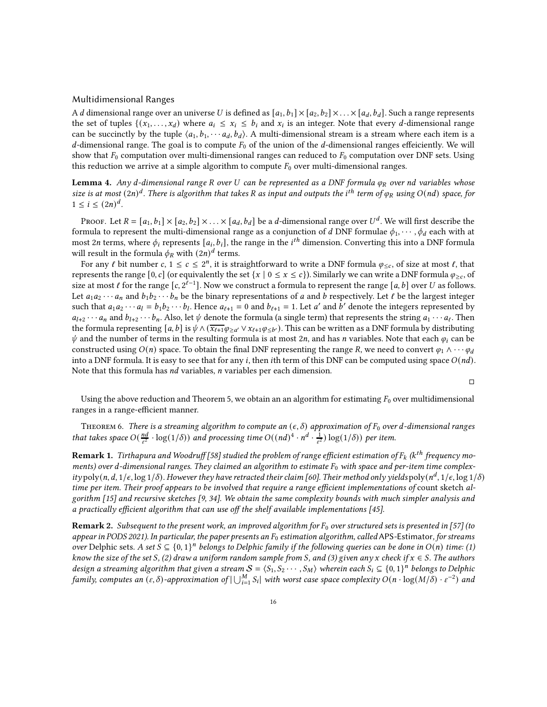#### <span id="page-15-1"></span>Multidimensional Ranges

A d dimensional range over an universe U is defined as  $[a_1,b_1] \times [a_2,b_2] \times \ldots \times [a_d,b_d]$ . Such a range represents the set of tuples  $\{(x_1, \ldots, x_d)$  where  $a_i \leq x_i \leq b_i$  and  $x_i$  is an integer. Note that every d-dimensional range can be succinctly by the tuple  $\langle a_1, b_1, \cdots, a_d, b_d \rangle$ . A multi-dimensional stream is a stream where each item is a d-dimensional range. The goal is to compute  $F_0$  of the union of the d-dimensional ranges effeiciently. We will show that  $F_0$  computation over multi-dimensional ranges can reduced to  $F_0$  computation over DNF sets. Using this reduction we arrive at a simple algorithm to compute  $F_0$  over multi-dimensional ranges.

**Lemma 4.** Any d-dimensional range R over U can be represented as a DNF formula  $\varphi_R$  over nd variables whose size is at most  $(2n)^d.$  There is algorithm that takes R as input and outputs the i<sup>th</sup> term of  $\varphi_R$  using  $O(nd)$  space, for  $1 \leq i \leq (2n)^d$ .

Proof. Let  $R=[a_1,b_1]\times[a_2,b_2]\times\ldots\times[a_d,b_d]$  be a  $d$ -dimensional range over  $U^d$ . We will first describe the formula to represent the multi-dimensional range as a conjunction of d DNF formulae  $\phi_1, \cdots, \phi_d$  each with at most 2 $n$  terms, where  $\phi_i$  represents  $[a_i,b_i]$ , the range in the  $i^{th}$  dimension. Converting this into a DNF formula will result in the formula  $\phi_R$  with  $(2n)^d$  terms.

For any  $\ell$  bit number  $c, 1 \leq c \leq 2^n$ , it is straightforward to write a DNF formula  $\varphi_{\leq c}$ , of size at most  $\ell$ , that represents the range [0, c] (or equivalently the set  $\{x \mid 0 \le x \le c\}$ ). Similarly we can write a DNF formula  $\varphi_{\ge c}$ , of size at most  $\ell$  for the range [c,  $2^{\ell-1}$ ]. Now we construct a formula to represent the range [a, b] over U as follows. Let  $a_1 a_2 \cdots a_n$  and  $b_1 b_2 \cdots b_n$  be the binary representations of a and b respectively. Let  $\ell$  be the largest integer such that  $a_1a_2\cdots a_l = b_1b_2\cdots b_l$ . Hence  $a_{l+1} = 0$  and  $b_{l+1} = 1$ . Let a' and b' denote the integers represented by  $a_{l+2}\cdots a_n$  and  $b_{l+2}\cdots b_n$ . Also, let  $\psi$  denote the formula (a single term) that represents the string  $a_1\cdots a_\ell$ . Then the formula representing  $[a,b]$  is  $\psi\wedge(\overline{x_{\ell+1}}\varphi_{\ge a'}\vee x_{\ell+1}\varphi_{\le b'})$ . This can be written as a DNF formula by distributing  $\psi$  and the number of terms in the resulting formula is at most 2n, and has n variables. Note that each  $\varphi_i$  can be constructed using  $O(n)$  space. To obtain the final DNF representing the range R, we need to convert  $\varphi_1 \wedge \cdots \varphi_d$ into a DNF formula. It is easy to see that for any i, then ith term of this DNF can be computed using space  $O(nd)$ . Note that this formula has  $nd$  variables,  $n$  variables per each dimension.

 $\Box$ 

Using the above reduction and Theorem [5,](#page-14-2) we obtain an an algorithm for estimating  $F_0$  over multidimensional ranges in a range-efficient manner.

<span id="page-15-2"></span>THEOREM 6. There is a streaming algorithm to compute an  $(\epsilon, \delta)$  approximation of  $F_0$  over d-dimensional ranges that takes space  $O(\frac{nd}{\epsilon^2} \cdot \log(1/\delta))$  and processing time  $O((nd)^4 \cdot n^d \cdot \frac{1}{\epsilon^2}) \log(1/\delta))$  per item.

<span id="page-15-0"></span> ${\bf Remark~1.}$  Tirthapura and Woodruff [\[58\]](#page-20-11) studied the problem of range efficient estimation of  $F_k$  (k $^{th}$  frequency moments) over d-dimensional ranges. They claimed an algorithm to estimate  $F_0$  with space and per-item time complexity poly(n, d, 1/ $\epsilon$ , log 1/ $\delta$ ). However they have retracted their claim [\[60\]](#page-20-24). Their method only yields poly( $n^d$ , 1/ $\epsilon$ , log 1/ $\delta$ ) time per item. Their proof appears to be involved that require a range efficient implementations of count sketch algorithm [\[15\]](#page-19-20) and recursive sketches [\[9](#page-19-21), [34\]](#page-19-22). We obtain the same complexity bounds with much simpler analysis and a practically efficient algorithm that can use off the shelf available implementations [\[45](#page-20-13)].

**Remark 2.** Subsequent to the present work, an improved algorithm for  $F_0$  over structured sets is presented in [\[57\]](#page-20-25) (to appear in PODS 2021). In particular, the paper presents an  $F_0$  estimation algorithm, called APS-Estimator, for streams over Delphic sets. A set  $S \subseteq \{0,1\}^n$  belongs to Delphic family if the following queries can be done in  $O(n)$  time: (1) know the size of the set S, (2) draw a uniform random sample from S, and (3) given any x check if  $x \in S$ . The authors design a streaming algorithm that given a stream  $S = \langle S_1, S_2 \cdots, S_M \rangle$  wherein each  $S_i \subseteq \{0, 1\}^n$  belongs to Delphic family, computes an  $(\varepsilon,\delta)$ -approximation of  $|\bigcup_{i=1}^M S_i|$  with worst case space complexity  $O(n\cdot\log(M/\delta)\cdot\varepsilon^{-2})$  and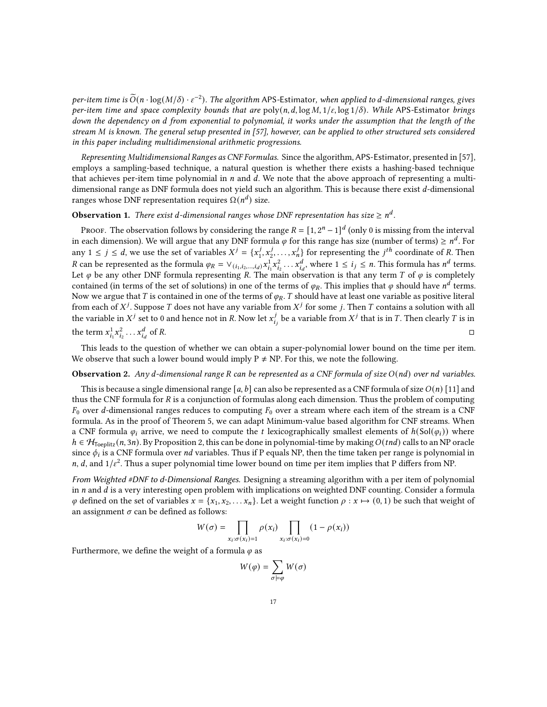per-item time is  $\widetilde{O}(n\cdot \log(M/\delta)\cdot \varepsilon^{-2})$ . The algorithm APS-Estimator, when applied to d-dimensional ranges, gives per-item time and space complexity bounds that are poly(n, d, log M,  $1/\varepsilon$ , log  $1/\delta$ ). While APS-Estimator brings down the dependency on d from exponential to polynomial, it works under the assumption that the length of the stream M is known. The general setup presented in [\[57\]](#page-20-25), however, can be applied to other structured sets considered in this paper including multidimensional arithmetic progressions.

Representing Multidimensional Ranges as CNF Formulas. Since the algorithm, APS-Estimator, presented in [\[57\]](#page-20-25), employs a sampling-based technique, a natural question is whether there exists a hashing-based technique that achieves per-item time polynomial in  $n$  and  $d$ . We note that the above approach of representing a multidimensional range as DNF formula does not yield such an algorithm. This is because there exist  $d$ -dimensional ranges whose DNF representation requires  $\Omega(n^d)$  size.

# **Observation 1.** There exist d-dimensional ranges whose DNF representation has size  $\geq n^d$ .

Proof. The observation follows by considering the range  $R = [1, 2^n - 1]^d$  (only 0 is missing from the interval in each dimension). We will argue that any DNF formula  $\varphi$  for this range has size (number of terms)  $\geq n^d$ . For any  $1 \le j \le d$ , we use the set of variables  $X^j = \{x_1^j, x_2^j, \ldots, x_n^j\}$  for representing the  $j^{th}$  coordinate of R. Then  $R$  can be represented as the formula  $\varphi_R = \vee_{(i_1, i_2, ..., i_d)} x_{i_1}^1 x_{i_2}^2 \dots x_{i_d}^d$ , where  $1 \le i_j \le n$ . This formula has  $n^d$  terms. Let  $\varphi$  be any other DNF formula representing R. The main observation is that any term T of  $\varphi$  is completely contained (in terms of the set of solutions) in one of the terms of  $\varphi_R.$  This implies that  $\varphi$  should have  $n^d$  terms. Now we argue that T is contained in one of the terms of  $\varphi_R$ . T should have at least one variable as positive literal from each of  $X^j$ . Suppose  $T$  does not have any variable from  $X^j$  for some  $j$ . Then  $T$  contains a solution with all the variable in  $X^j$  set to 0 and hence not in R. Now let  $x_i^j$  $\frac{J}{i_j}$  be a variable from  $X^j$  that is in  $T.$  Then clearly  $T$  is in the term  $x_{i_1}^1 x_{i_2}^2 \ldots x_{i_d}^d$ of  $R$ .

This leads to the question of whether we can obtain a super-polynomial lower bound on the time per item. We observe that such a lower bound would imply  $P \neq NP$ . For this, we note the following.

## **Observation 2.** Any d-dimensional range R can be represented as a CNF formula of size  $O(nd)$  over nd variables.

This is because a single dimensional range [a, b] can also be represented as a CNF formula of size  $O(n)$  [\[11\]](#page-19-23) and thus the CNF formula for  $R$  is a conjunction of formulas along each dimension. Thus the problem of computing  $F_0$  over d-dimensional ranges reduces to computing  $F_0$  over a stream where each item of the stream is a CNF formula. As in the proof of Theorem [5,](#page-14-2) we can adapt Minimum-value based algorithm for CNF streams. When a CNF formula  $\varphi_i$  arrive, we need to compute the t lexicographically smallest elements of  $h(Sol(\varphi_i))$  where  $h \in \mathcal{H}_{\text{Teeplitz}}(n, 3n)$ . By Proposition [2,](#page-9-0) this can be done in polynomial-time by making  $O(tnd)$  calls to an NP oracle since  $\phi_i$  is a CNF formula over  $nd$  variables. Thus if P equals NP, then the time taken per range is polynomial in n, d, and  $1/\varepsilon^2$ . Thus a super polynomial time lower bound on time per item implies that P differs from NP.

From Weighted #DNF to d-Dimensional Ranges. Designing a streaming algorithm with a per item of polynomial in  $n$  and  $d$  is a very interesting open problem with implications on weighted DNF counting. Consider a formula  $\varphi$  defined on the set of variables  $x = \{x_1, x_2, \ldots, x_n\}$ . Let a weight function  $\rho : x \mapsto (0, 1)$  be such that weight of an assignment  $\sigma$  can be defined as follows:

$$
W(\sigma) = \prod_{x_i : \sigma(x_i) = 1} \rho(x_i) \prod_{x_i : \sigma(x_i) = 0} (1 - \rho(x_i))
$$

Furthermore, we define the weight of a formula  $\varphi$  as

$$
W(\varphi)=\sum_{\sigma\models\varphi}W(\sigma)
$$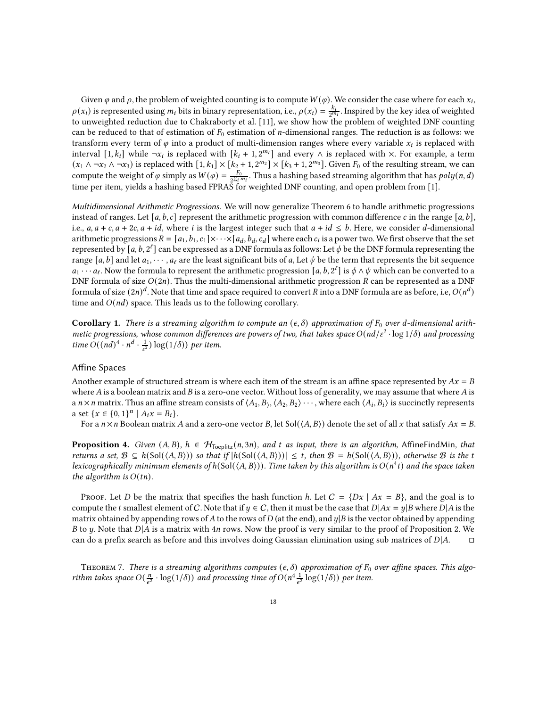Given  $\varphi$  and  $\rho$ , the problem of weighted counting is to compute  $W(\varphi)$ . We consider the case where for each  $x_i$ ,  $\rho(x_i)$  is represented using  $m_i$  bits in binary representation, i.e.,  $\rho(x_i) = \frac{k_i}{2^{m_i}}$ . Inspired by the key idea of weighted to unweighted reduction due to Chakraborty et al. [\[11\]](#page-19-23), we show how the problem of weighted DNF counting can be reduced to that of estimation of  $F_0$  estimation of *n*-dimensional ranges. The reduction is as follows: we transform every term of  $\varphi$  into a product of multi-dimension ranges where every variable  $x_i$  is replaced with interval  $[1, k_i]$  while  $\neg x_i$  is replaced with  $[k_i + 1, 2^{m_i}]$  and every  $\wedge$  is replaced with  $\times$ . For example, a term  $(x_1 \wedge \neg x_2 \wedge \neg x_3)$  is replaced with  $[1, k_1] \times [k_2 + 1, 2^{m_2}] \times [k_3 + 1, 2^{m_3}]$ . Given  $F_0$  of the resulting stream, we can compute the weight of  $\varphi$  simply as  $W(\varphi) = \frac{F_0}{2\sum_i F_i}$  $\frac{F_0}{2\Sigma_l m_l}$ . Thus a hashing based streaming algorithm that has  $poly(n, d)$ time per item, yields a hashing based FPRAS for weighted DNF counting, and open problem from [\[1\]](#page-18-6).

Multidimensional Arithmetic Progressions. We will now generalize Theorem [6](#page-15-2) to handle arithmetic progressions instead of ranges. Let [a, b, c] represent the arithmetic progression with common difference c in the range [a, b], i.e.,  $a, a + c, a + 2c, a + id$ , where i is the largest integer such that  $a + id \leq b$ . Here, we consider d-dimensional arithmetic progressions  $R = [a_1, b_1, c_1] \times \cdots \times [a_d, b_d, c_d]$  where each  $c_i$  is a power two. We first observe that the set represented by [a, b, 2 $^\ell$ ] can be expressed as a DNF formula as follows: Let  $\phi$  be the DNF formula representing the range [a, b] and let  $a_1, \dots, a_\ell$  are the least significant bits of a, Let  $\psi$  be the term that represents the bit sequence  $a_1 \cdots a_\ell$ . Now the formula to represent the arithmetic progression  $[a, b, 2^\ell]$  is  $\phi \wedge \psi$  which can be converted to a DNF formula of size  $O(2n)$ . Thus the multi-dimensional arithmetic progression R can be represented as a DNF formula of size  $(2n)^d.$  Note that time and space required to convert  $R$  into a DNF formula are as before, i.e,  $O(n^d)$ time and  $O(nd)$  space. This leads us to the following corollary.

Corollary 1. There is a streaming algorithm to compute an  $(\epsilon, \delta)$  approximation of  $F_0$  over d-dimensional arithmetic progressions, whose common differences are powers of two, that takes space  $O(nd/\varepsilon^2 \cdot \log 1/\delta)$  and processing time  $O((nd)^4 \cdot n^d \cdot \frac{1}{\epsilon^2}) \log(1/\delta))$  per item.

# Affine Spaces

Another example of structured stream is where each item of the stream is an affine space represented by  $Ax = B$ where  $A$  is a boolean matrix and  $B$  is a zero-one vector. Without loss of generality, we may assume that where  $A$  is a  $n \times n$  matrix. Thus an affine stream consists of  $\langle A_1, B_2, A_2, B_2 \rangle \cdots$ , where each  $\langle A_i, B_i \rangle$  is succinctly represents a set  $\{x \in \{0, 1\}^n \mid A_i x = B_i\}.$ 

For a  $n \times n$  Boolean matrix A and a zero-one vector B, let Sol( $\langle A, B \rangle$ ) denote the set of all x that satisfy  $Ax = B$ .

**Proposition 4.** Given  $(A, B)$ ,  $h \in H_{\text{Toeplitz}}(n, 3n)$ , and t as input, there is an algorithm, AffineFindMin, that returns a set,  $\mathcal{B} \subseteq h(\text{Sol}(\langle A, B \rangle))$  so that if  $|h(\text{Sol}(\langle A, B \rangle))| \leq t$ , then  $\mathcal{B} = h(\text{Sol}(\langle A, B \rangle))$ , otherwise  $\mathcal B$  is the t lexicographically minimum elements of h $({\rm Sol}(\langle A,B \rangle ))$ . Time taken by this algorithm is  $O(n^4t)$  and the space taken the algorithm is  $O(tn)$ .

Proof. Let D be the matrix that specifies the hash function h. Let  $C = \{Dx \mid Ax = B\}$ , and the goal is to compute the *t* smallest element of C. Note that if  $y \in C$ , then it must be the case that  $D|Ax = y|B$  where  $D|A$  is the matrix obtained by appending rows of A to the rows of D (at the end), and  $y|B$  is the vector obtained by appending B to y. Note that  $D|A$  is a matrix with 4n rows. Now the proof is very similar to the proof of Proposition [2.](#page-9-0) We can do a prefix search as before and this involves doing Gaussian elimination using sub matrices of  $D|A$ .  $\square$ 

THEOREM 7. There is a streaming algorithms computes  $(\epsilon, \delta)$  approximation of  $F_0$  over affine spaces. This algorithm takes space  $O(\frac{n}{\epsilon^2} \cdot \log(1/\delta))$  and processing time of  $O(n^4 \frac{1}{\epsilon^2} \log(1/\delta))$  per item.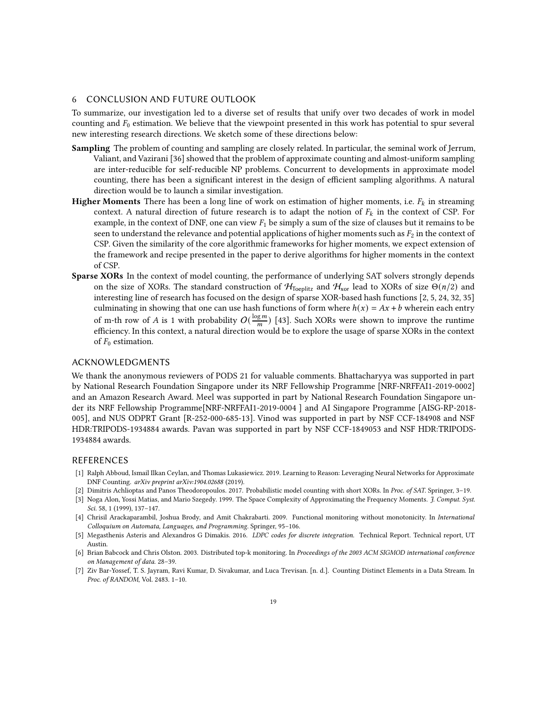## <span id="page-18-3"></span>6 CONCLUSION AND FUTURE OUTLOOK

To summarize, our investigation led to a diverse set of results that unify over two decades of work in model counting and  $F_0$  estimation. We believe that the viewpoint presented in this work has potential to spur several new interesting research directions. We sketch some of these directions below:

- Sampling The problem of counting and sampling are closely related. In particular, the seminal work of Jerrum, Valiant, and Vazirani [\[36](#page-19-24)] showed that the problem of approximate counting and almost-uniform sampling are inter-reducible for self-reducible NP problems. Concurrent to developments in approximate model counting, there has been a significant interest in the design of efficient sampling algorithms. A natural direction would be to launch a similar investigation.
- **Higher Moments** There has been a long line of work on estimation of higher moments, i.e.  $F_k$  in streaming context. A natural direction of future research is to adapt the notion of  $F_k$  in the context of CSP. For example, in the context of DNF, one can view  $F_1$  be simply a sum of the size of clauses but it remains to be seen to understand the relevance and potential applications of higher moments such as  $F_2$  in the context of CSP. Given the similarity of the core algorithmic frameworks for higher moments, we expect extension of the framework and recipe presented in the paper to derive algorithms for higher moments in the context of CSP.
- Sparse XORs In the context of model counting, the performance of underlying SAT solvers strongly depends on the size of XORs. The standard construction of  $H_{\text{Toeplitz}}$  and  $H_{\text{xor}}$  lead to XORs of size  $\Theta(n/2)$  and interesting line of research has focused on the design of sparse XOR-based hash functions [\[2,](#page-18-0) [5,](#page-18-7) [24](#page-19-25), [32](#page-19-26), [35\]](#page-19-5) culminating in showing that one can use hash functions of form where  $h(x) = Ax + b$  wherein each entry of m-th row of A is 1 with probability  $O(\frac{\log m}{m})$  [\[43\]](#page-20-26). Such XORs were shown to improve the runtime efficiency. In this context, a natural direction would be to explore the usage of sparse XORs in the context of  $F_0$  estimation.

## ACKNOWLEDGMENTS

We thank the anonymous reviewers of PODS 21 for valuable comments. Bhattacharyya was supported in part by National Research Foundation Singapore under its NRF Fellowship Programme [NRF-NRFFAI1-2019-0002] and an Amazon Research Award. Meel was supported in part by National Research Foundation Singapore under its NRF Fellowship Programme[NRF-NRFFAI1-2019-0004 ] and AI Singapore Programme [AISG-RP-2018- 005], and NUS ODPRT Grant [R-252-000-685-13]. Vinod was supported in part by NSF CCF-184908 and NSF HDR:TRIPODS-1934884 awards. Pavan was supported in part by NSF CCF-1849053 and NSF HDR:TRIPODS-1934884 awards.

#### REFERENCES

- <span id="page-18-6"></span>[1] Ralph Abboud, Ismail Ilkan Ceylan, and Thomas Lukasiewicz. 2019. Learning to Reason: Leveraging Neural Networks for Approximate DNF Counting. arXiv preprint arXiv:1904.02688 (2019).
- <span id="page-18-0"></span>[2] Dimitris Achlioptas and Panos Theodoropoulos. 2017. Probabilistic model counting with short XORs. In Proc. of SAT. Springer, 3–19.
- <span id="page-18-1"></span>[3] Noga Alon, Yossi Matias, and Mario Szegedy. 1999. The Space Complexity of Approximating the Frequency Moments. J. Comput. Syst. Sci. 58, 1 (1999), 137–147.
- <span id="page-18-4"></span>[4] Chrisil Arackaparambil, Joshua Brody, and Amit Chakrabarti. 2009. Functional monitoring without monotonicity. In International Colloquium on Automata, Languages, and Programming. Springer, 95–106.
- <span id="page-18-7"></span>[5] Megasthenis Asteris and Alexandros G Dimakis. 2016. LDPC codes for discrete integration. Technical Report. Technical report, UT Austin.
- <span id="page-18-5"></span>[6] Brian Babcock and Chris Olston. 2003. Distributed top-k monitoring. In Proceedings of the 2003 ACM SIGMOD international conference on Management of data. 28–39.
- <span id="page-18-2"></span>[7] Ziv Bar-Yossef, T. S. Jayram, Ravi Kumar, D. Sivakumar, and Luca Trevisan. [n. d.]. Counting Distinct Elements in a Data Stream. In Proc. of RANDOM, Vol. 2483. 1–10.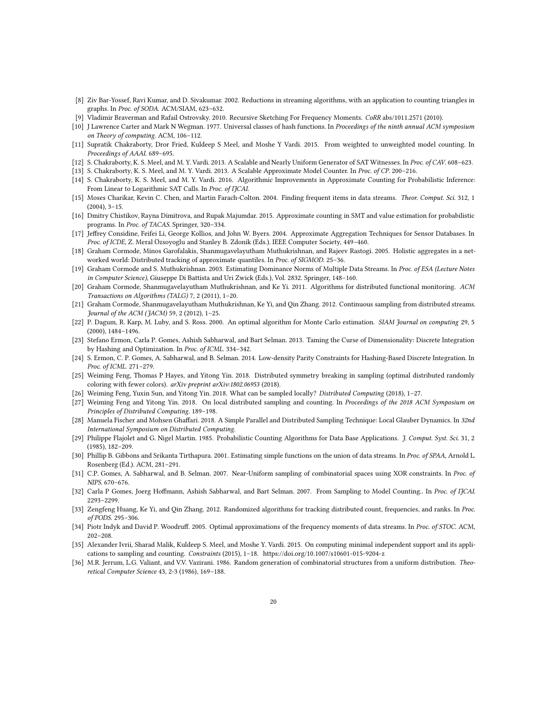- <span id="page-19-9"></span>[8] Ziv Bar-Yossef, Ravi Kumar, and D. Sivakumar. 2002. Reductions in streaming algorithms, with an application to counting triangles in graphs. In Proc. of SODA. ACM/SIAM, 623–632.
- <span id="page-19-21"></span>[9] Vladimir Braverman and Rafail Ostrovsky. 2010. Recursive Sketching For Frequency Moments. CoRR abs/1011.2571 (2010).
- <span id="page-19-12"></span>[10] J Lawrence Carter and Mark N Wegman. 1977. Universal classes of hash functions. In Proceedings of the ninth annual ACM symposium on Theory of computing. ACM, 106–112.
- <span id="page-19-23"></span>[11] Supratik Chakraborty, Dror Fried, Kuldeep S Meel, and Moshe Y Vardi. 2015. From weighted to unweighted model counting. In Proceedings of AAAI. 689–695.
- <span id="page-19-13"></span>[12] S. Chakraborty, K. S. Meel, and M. Y. Vardi. 2013. A Scalable and Nearly Uniform Generator of SAT Witnesses. In Proc. of CAV. 608-623.
- <span id="page-19-0"></span>[13] S. Chakraborty, K. S. Meel, and M. Y. Vardi. 2013. A Scalable Approximate Model Counter. In Proc. of CP. 200–216.
- <span id="page-19-1"></span>[14] S. Chakraborty, K. S. Meel, and M. Y. Vardi. 2016. Algorithmic Improvements in Approximate Counting for Probabilistic Inference: From Linear to Logarithmic SAT Calls. In Proc. of IJCAI.
- <span id="page-19-20"></span>[15] Moses Charikar, Kevin C. Chen, and Martin Farach-Colton. 2004. Finding frequent items in data streams. Theor. Comput. Sci. 312, 1 (2004), 3–15.
- <span id="page-19-2"></span>[16] Dmitry Chistikov, Rayna Dimitrova, and Rupak Majumdar. 2015. Approximate counting in SMT and value estimation for probabilistic programs. In Proc. of TACAS. Springer, 320–334.
- <span id="page-19-11"></span>[17] Jeffrey Considine, Feifei Li, George Kollios, and John W. Byers. 2004. Approximate Aggregation Techniques for Sensor Databases. In Proc. of ICDE, Z. Meral Özsoyoglu and Stanley B. Zdonik (Eds.). IEEE Computer Society, 449–460.
- <span id="page-19-17"></span>[18] Graham Cormode, Minos Garofalakis, Shanmugavelayutham Muthukrishnan, and Rajeev Rastogi. 2005. Holistic aggregates in a networked world: Distributed tracking of approximate quantiles. In Proc. of SIGMOD. 25–36.
- <span id="page-19-10"></span>[19] Graham Cormode and S. Muthukrishnan. 2003. Estimating Dominance Norms of Multiple Data Streams. In Proc. of ESA (Lecture Notes in Computer Science), Giuseppe Di Battista and Uri Zwick (Eds.), Vol. 2832. Springer, 148–160.
- <span id="page-19-16"></span>[20] Graham Cormode, Shanmugavelayutham Muthukrishnan, and Ke Yi. 2011. Algorithms for distributed functional monitoring. ACM Transactions on Algorithms (TALG) 7, 2 (2011), 1–20.
- <span id="page-19-18"></span>[21] Graham Cormode, Shanmugavelayutham Muthukrishnan, Ke Yi, and Qin Zhang. 2012. Continuous sampling from distributed streams. Journal of the ACM (JACM) 59, 2 (2012), 1–25.
- <span id="page-19-6"></span>[22] P. Dagum, R. Karp, M. Luby, and S. Ross. 2000. An optimal algorithm for Monte Carlo estimation. SIAM Journal on computing 29, 5 (2000), 1484–1496.
- <span id="page-19-3"></span>[23] Stefano Ermon, Carla P. Gomes, Ashish Sabharwal, and Bart Selman. 2013. Taming the Curse of Dimensionality: Discrete Integration by Hashing and Optimization. In Proc. of ICML. 334–342.
- <span id="page-19-25"></span>[24] S. Ermon, C. P. Gomes, A. Sabharwal, and B. Selman. 2014. Low-density Parity Constraints for Hashing-Based Discrete Integration. In Proc. of ICML. 271–279.
- <span id="page-19-14"></span>[25] Weiming Feng, Thomas P Hayes, and Yitong Yin. 2018. Distributed symmetry breaking in sampling (optimal distributed randomly coloring with fewer colors). arXiv preprint arXiv:1802.06953 (2018).
- [26] Weiming Feng, Yuxin Sun, and Yitong Yin. 2018. What can be sampled locally? Distributed Computing (2018), 1–27.
- [27] Weiming Feng and Yitong Yin. 2018. On local distributed sampling and counting. In Proceedings of the 2018 ACM Symposium on Principles of Distributed Computing. 189–198.
- <span id="page-19-15"></span>[28] Manuela Fischer and Mohsen Ghaffari. 2018. A Simple Parallel and Distributed Sampling Technique: Local Glauber Dynamics. In 32nd International Symposium on Distributed Computing.
- <span id="page-19-7"></span>[29] Philippe Flajolet and G. Nigel Martin. 1985. Probabilistic Counting Algorithms for Data Base Applications. J. Comput. Syst. Sci. 31, 2 (1985), 182–209.
- <span id="page-19-8"></span>[30] Phillip B. Gibbons and Srikanta Tirthapura. 2001. Estimating simple functions on the union of data streams. In Proc. of SPAA, Arnold L. Rosenberg (Ed.). ACM, 281–291.
- <span id="page-19-4"></span>[31] C.P. Gomes, A. Sabharwal, and B. Selman. 2007. Near-Uniform sampling of combinatorial spaces using XOR constraints. In Proc. of NIPS. 670–676.
- <span id="page-19-26"></span>[32] Carla P Gomes, Joerg Hoffmann, Ashish Sabharwal, and Bart Selman. 2007. From Sampling to Model Counting.. In Proc. of IJCAI. 2293–2299.
- <span id="page-19-19"></span>[33] Zengfeng Huang, Ke Yi, and Qin Zhang. 2012. Randomized algorithms for tracking distributed count, frequencies, and ranks. In Proc. of PODS. 295–306.
- <span id="page-19-22"></span>[34] Piotr Indyk and David P. Woodruff. 2005. Optimal approximations of the frequency moments of data streams. In Proc. of STOC. ACM, 202–208.
- <span id="page-19-5"></span>[35] Alexander Ivrii, Sharad Malik, Kuldeep S. Meel, and Moshe Y. Vardi. 2015. On computing minimal independent support and its applications to sampling and counting. Constraints (2015), 1–18.<https://doi.org/10.1007/s10601-015-9204-z>
- <span id="page-19-24"></span>[36] M.R. Jerrum, L.G. Valiant, and V.V. Vazirani. 1986. Random generation of combinatorial structures from a uniform distribution. Theoretical Computer Science 43, 2-3 (1986), 169–188.